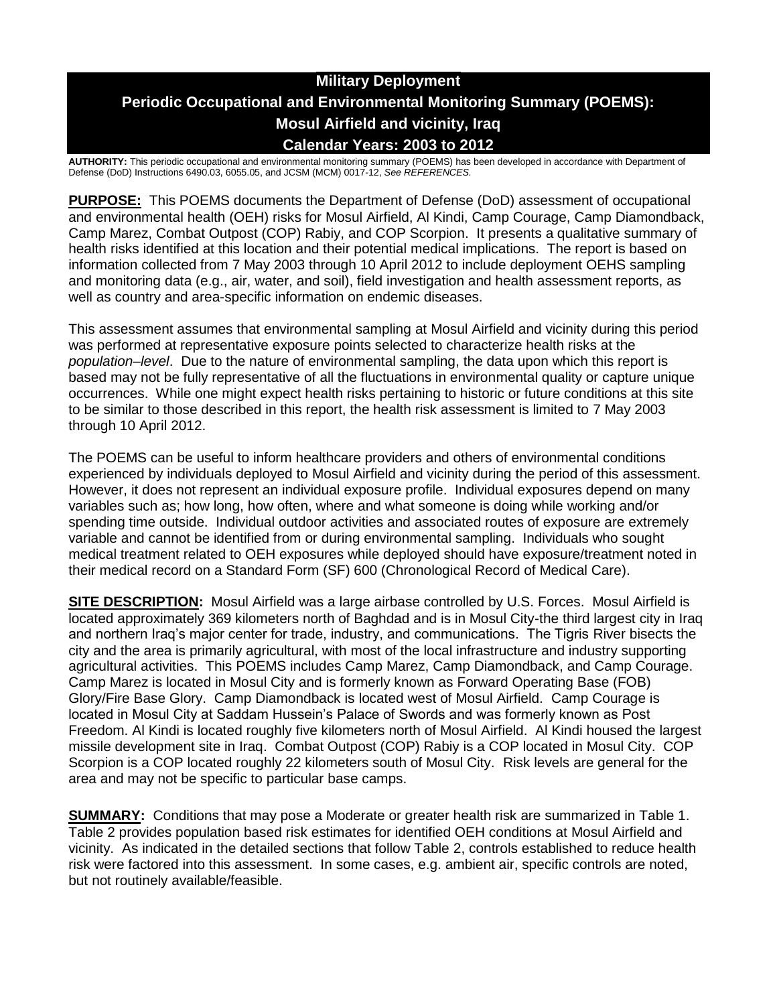# **Military Deployment Periodic Occupational and Environmental Monitoring Summary (POEMS): Mosul Airfield and vicinity, Iraq Calendar Years: 2003 to 2012**

**AUTHORITY:** This periodic occupational and environmental monitoring summary (POEMS) has been developed in accordance with Department of Defense (DoD) Instructions 6490.03, 6055.05, and JCSM (MCM) 0017-12, *See REFERENCES.*

**PURPOSE:** This POEMS documents the Department of Defense (DoD) assessment of occupational and environmental health (OEH) risks for Mosul Airfield, Al Kindi, Camp Courage, Camp Diamondback, Camp Marez, Combat Outpost (COP) Rabiy, and COP Scorpion. It presents a qualitative summary of health risks identified at this location and their potential medical implications. The report is based on information collected from 7 May 2003 through 10 April 2012 to include deployment OEHS sampling and monitoring data (e.g., air, water, and soil), field investigation and health assessment reports, as well as country and area-specific information on endemic diseases.

This assessment assumes that environmental sampling at Mosul Airfield and vicinity during this period was performed at representative exposure points selected to characterize health risks at the *population–level*. Due to the nature of environmental sampling, the data upon which this report is based may not be fully representative of all the fluctuations in environmental quality or capture unique occurrences. While one might expect health risks pertaining to historic or future conditions at this site to be similar to those described in this report, the health risk assessment is limited to 7 May 2003 through 10 April 2012.

The POEMS can be useful to inform healthcare providers and others of environmental conditions experienced by individuals deployed to Mosul Airfield and vicinity during the period of this assessment. However, it does not represent an individual exposure profile. Individual exposures depend on many variables such as; how long, how often, where and what someone is doing while working and/or spending time outside. Individual outdoor activities and associated routes of exposure are extremely variable and cannot be identified from or during environmental sampling. Individuals who sought medical treatment related to OEH exposures while deployed should have exposure/treatment noted in their medical record on a Standard Form (SF) 600 (Chronological Record of Medical Care).

**SITE DESCRIPTION:** Mosul Airfield was a large airbase controlled by U.S. Forces. Mosul Airfield is located approximately 369 kilometers north of Baghdad and is in Mosul City-the third largest city in Iraq and northern Iraq's major center for trade, industry, and communications. The Tigris River bisects the city and the area is primarily agricultural, with most of the local infrastructure and industry supporting agricultural activities. This POEMS includes Camp Marez, Camp Diamondback, and Camp Courage. Camp Marez is located in Mosul City and is formerly known as Forward Operating Base (FOB) Glory/Fire Base Glory. Camp Diamondback is located west of Mosul Airfield. Camp Courage is located in Mosul City at Saddam Hussein's Palace of Swords and was formerly known as Post Freedom. Al Kindi is located roughly five kilometers north of Mosul Airfield. Al Kindi housed the largest missile development site in Iraq. Combat Outpost (COP) Rabiy is a COP located in Mosul City. COP Scorpion is a COP located roughly 22 kilometers south of Mosul City. Risk levels are general for the area and may not be specific to particular base camps.

**SUMMARY:** Conditions that may pose a Moderate or greater health risk are summarized in Table 1. Table 2 provides population based risk estimates for identified OEH conditions at Mosul Airfield and vicinity. As indicated in the detailed sections that follow Table 2, controls established to reduce health risk were factored into this assessment. In some cases, e.g. ambient air, specific controls are noted, but not routinely available/feasible.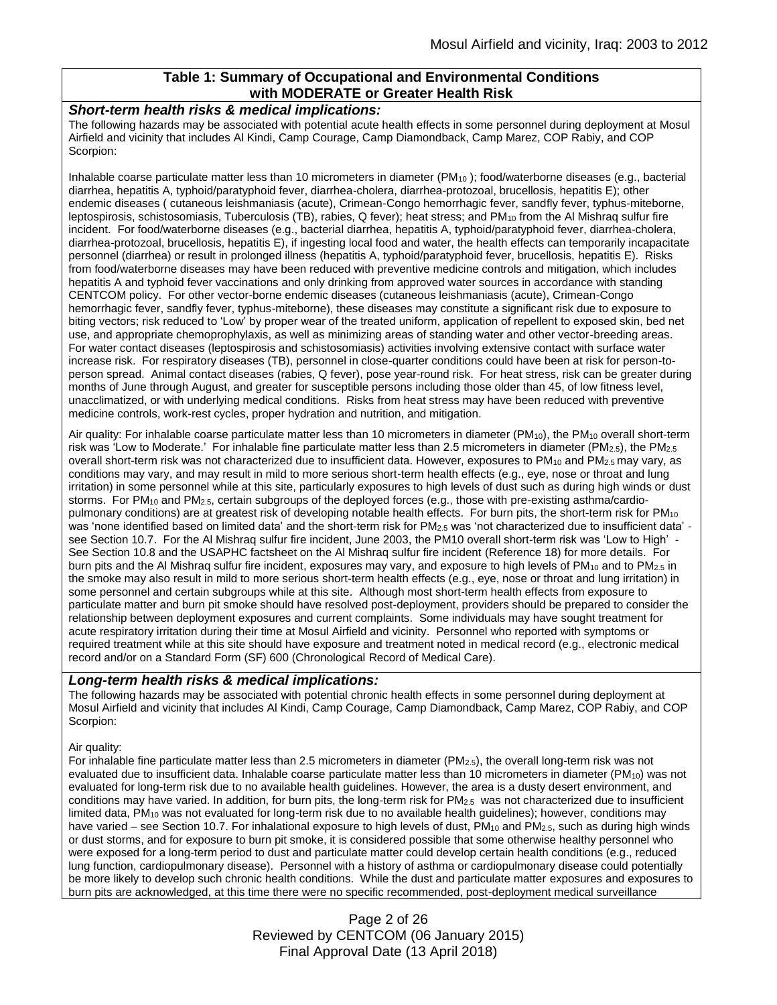## **Table 1: Summary of Occupational and Environmental Conditions with MODERATE or Greater Health Risk**

#### *Short-term health risks & medical implications:*

The following hazards may be associated with potential acute health effects in some personnel during deployment at Mosul Airfield and vicinity that includes Al Kindi, Camp Courage, Camp Diamondback, Camp Marez, COP Rabiy, and COP Scorpion:

Inhalable coarse particulate matter less than 10 micrometers in diameter ( $PM_{10}$ ); food/waterborne diseases (e.g., bacterial diarrhea, hepatitis A, typhoid/paratyphoid fever, diarrhea-cholera, diarrhea-protozoal, brucellosis, hepatitis E); other endemic diseases ( cutaneous leishmaniasis (acute), Crimean-Congo hemorrhagic fever, sandfly fever, typhus-miteborne, leptospirosis, schistosomiasis, Tuberculosis (TB), rabies, Q fever); heat stress; and PM<sub>10</sub> from the Al Mishraq sulfur fire incident. For food/waterborne diseases (e.g., bacterial diarrhea, hepatitis A, typhoid/paratyphoid fever, diarrhea-cholera, diarrhea-protozoal, brucellosis, hepatitis E), if ingesting local food and water, the health effects can temporarily incapacitate personnel (diarrhea) or result in prolonged illness (hepatitis A, typhoid/paratyphoid fever, brucellosis, hepatitis E). Risks from food/waterborne diseases may have been reduced with preventive medicine controls and mitigation, which includes hepatitis A and typhoid fever vaccinations and only drinking from approved water sources in accordance with standing CENTCOM policy. For other vector-borne endemic diseases (cutaneous leishmaniasis (acute), Crimean-Congo hemorrhagic fever, sandfly fever, typhus-miteborne), these diseases may constitute a significant risk due to exposure to biting vectors; risk reduced to 'Low' by proper wear of the treated uniform, application of repellent to exposed skin, bed net use, and appropriate chemoprophylaxis, as well as minimizing areas of standing water and other vector-breeding areas. For water contact diseases (leptospirosis and schistosomiasis) activities involving extensive contact with surface water increase risk. For respiratory diseases (TB), personnel in close-quarter conditions could have been at risk for person-toperson spread. Animal contact diseases (rabies, Q fever), pose year-round risk. For heat stress, risk can be greater during months of June through August, and greater for susceptible persons including those older than 45, of low fitness level, unacclimatized, or with underlying medical conditions. Risks from heat stress may have been reduced with preventive medicine controls, work-rest cycles, proper hydration and nutrition, and mitigation.

Air quality: For inhalable coarse particulate matter less than 10 micrometers in diameter (PM<sub>10</sub>), the PM<sub>10</sub> overall short-term risk was 'Low to Moderate.' For inhalable fine particulate matter less than 2.5 micrometers in diameter ( $PM_{2.5}$ ), the PM<sub>2.5</sub> overall short-term risk was not characterized due to insufficient data. However, exposures to PM<sub>10</sub> and PM<sub>2.5</sub> may vary, as conditions may vary, and may result in mild to more serious short-term health effects (e.g., eye, nose or throat and lung irritation) in some personnel while at this site, particularly exposures to high levels of dust such as during high winds or dust storms. For PM<sub>10</sub> and PM<sub>2.5</sub>, certain subgroups of the deployed forces (e.g., those with pre-existing asthma/cardiopulmonary conditions) are at greatest risk of developing notable health effects. For burn pits, the short-term risk for PM<sub>10</sub> was 'none identified based on limited data' and the short-term risk for PM<sub>2.5</sub> was 'not characterized due to insufficient data' see Section 10.7. For the Al Mishraq sulfur fire incident, June 2003, the PM10 overall short-term risk was 'Low to High' - See Section 10.8 and the USAPHC factsheet on the Al Mishraq sulfur fire incident (Reference 18) for more details. For burn pits and the Al Mishraq sulfur fire incident, exposures may vary, and exposure to high levels of  $PM_{10}$  and to  $PM_{2.5}$  in the smoke may also result in mild to more serious short-term health effects (e.g., eye, nose or throat and lung irritation) in some personnel and certain subgroups while at this site. Although most short-term health effects from exposure to particulate matter and burn pit smoke should have resolved post-deployment, providers should be prepared to consider the relationship between deployment exposures and current complaints. Some individuals may have sought treatment for acute respiratory irritation during their time at Mosul Airfield and vicinity. Personnel who reported with symptoms or required treatment while at this site should have exposure and treatment noted in medical record (e.g., electronic medical record and/or on a Standard Form (SF) 600 (Chronological Record of Medical Care).

#### *Long-term health risks & medical implications:*

The following hazards may be associated with potential chronic health effects in some personnel during deployment at Mosul Airfield and vicinity that includes Al Kindi, Camp Courage, Camp Diamondback, Camp Marez, COP Rabiy, and COP Scorpion:

#### Air quality:

For inhalable fine particulate matter less than 2.5 micrometers in diameter (PM2.5), the overall long-term risk was not evaluated due to insufficient data. Inhalable coarse particulate matter less than 10 micrometers in diameter ( $PM_{10}$ ) was not evaluated for long-term risk due to no available health guidelines. However, the area is a dusty desert environment, and conditions may have varied. In addition, for burn pits, the long-term risk for PM2.5 was not characterized due to insufficient limited data,  $PM_{10}$  was not evaluated for long-term risk due to no available health guidelines); however, conditions may have varied – see Section 10.7. For inhalational exposure to high levels of dust,  $PM_{10}$  and  $PM_{2.5}$ , such as during high winds or dust storms, and for exposure to burn pit smoke, it is considered possible that some otherwise healthy personnel who were exposed for a long-term period to dust and particulate matter could develop certain health conditions (e.g., reduced lung function, cardiopulmonary disease). Personnel with a history of asthma or cardiopulmonary disease could potentially be more likely to develop such chronic health conditions. While the dust and particulate matter exposures and exposures to burn pits are acknowledged, at this time there were no specific recommended, post-deployment medical surveillance

> Page 2 of 26 Reviewed by CENTCOM (06 January 2015) Final Approval Date (13 April 2018)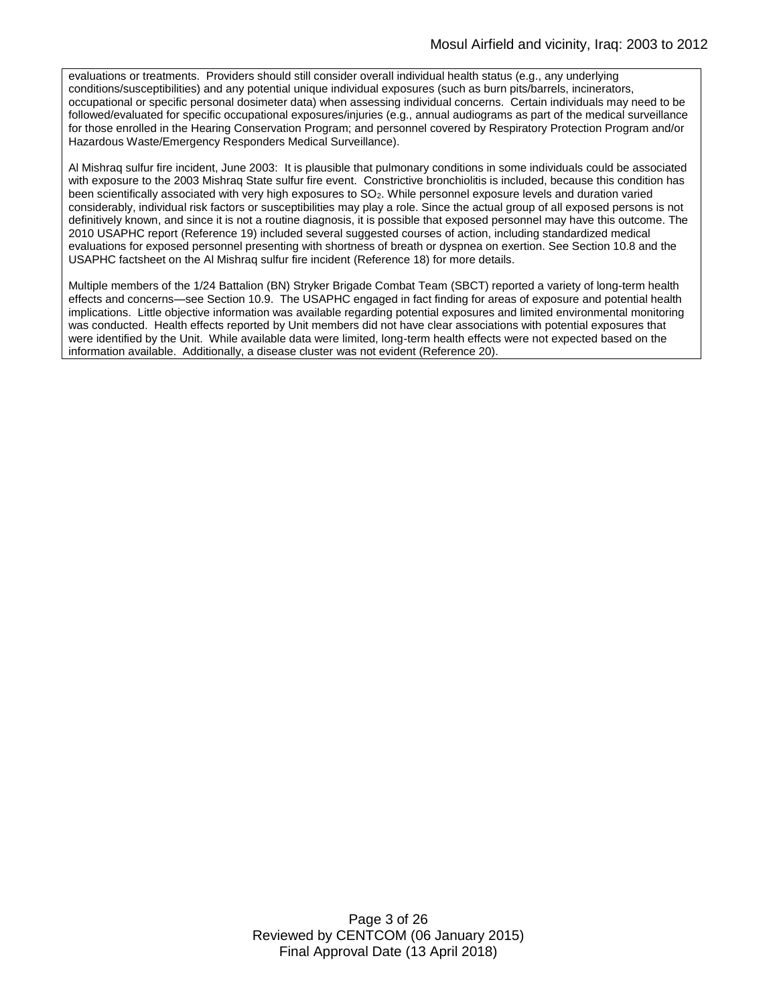evaluations or treatments. Providers should still consider overall individual health status (e.g., any underlying conditions/susceptibilities) and any potential unique individual exposures (such as burn pits/barrels, incinerators, occupational or specific personal dosimeter data) when assessing individual concerns. Certain individuals may need to be followed/evaluated for specific occupational exposures/injuries (e.g., annual audiograms as part of the medical surveillance for those enrolled in the Hearing Conservation Program; and personnel covered by Respiratory Protection Program and/or Hazardous Waste/Emergency Responders Medical Surveillance).

Al Mishraq sulfur fire incident, June 2003: It is plausible that pulmonary conditions in some individuals could be associated with exposure to the 2003 Mishraq State sulfur fire event. Constrictive bronchiolitis is included, because this condition has been scientifically associated with very high exposures to SO2. While personnel exposure levels and duration varied considerably, individual risk factors or susceptibilities may play a role. Since the actual group of all exposed persons is not definitively known, and since it is not a routine diagnosis, it is possible that exposed personnel may have this outcome. The 2010 USAPHC report (Reference 19) included several suggested courses of action, including standardized medical evaluations for exposed personnel presenting with shortness of breath or dyspnea on exertion. See Section 10.8 and the USAPHC factsheet on the Al Mishraq sulfur fire incident (Reference 18) for more details.

Multiple members of the 1/24 Battalion (BN) Stryker Brigade Combat Team (SBCT) reported a variety of long-term health effects and concerns—see Section 10.9. The USAPHC engaged in fact finding for areas of exposure and potential health implications. Little objective information was available regarding potential exposures and limited environmental monitoring was conducted. Health effects reported by Unit members did not have clear associations with potential exposures that were identified by the Unit. While available data were limited, long-term health effects were not expected based on the information available. Additionally, a disease cluster was not evident (Reference 20).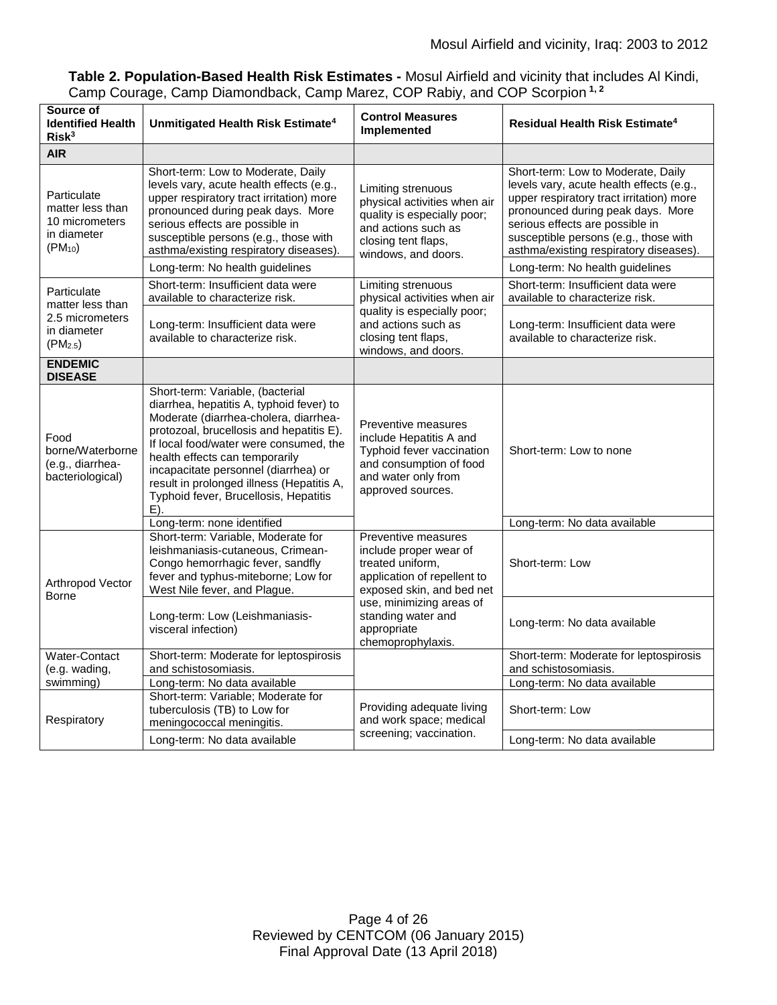|                                                                                         | Table 2. Population-Based Health Risk Estimates - Mosul Airfield and vicinity that includes Al Kindi, |
|-----------------------------------------------------------------------------------------|-------------------------------------------------------------------------------------------------------|
| Camp Courage, Camp Diamondback, Camp Marez, COP Rabiy, and COP Scorpion <sup>1, 2</sup> |                                                                                                       |

| Source of<br><b>Identified Health</b><br>Risk <sup>3</sup>                      | Unmitigated Health Risk Estimate <sup>4</sup>                                                                                                                                                                                                                                                                                                                                         | <b>Control Measures</b><br>Implemented                                                                                                                                                                              | Residual Health Risk Estimate <sup>4</sup>                                                                                                                                                                                                                                                                               |
|---------------------------------------------------------------------------------|---------------------------------------------------------------------------------------------------------------------------------------------------------------------------------------------------------------------------------------------------------------------------------------------------------------------------------------------------------------------------------------|---------------------------------------------------------------------------------------------------------------------------------------------------------------------------------------------------------------------|--------------------------------------------------------------------------------------------------------------------------------------------------------------------------------------------------------------------------------------------------------------------------------------------------------------------------|
| <b>AIR</b>                                                                      |                                                                                                                                                                                                                                                                                                                                                                                       |                                                                                                                                                                                                                     |                                                                                                                                                                                                                                                                                                                          |
| Particulate<br>matter less than<br>10 micrometers<br>in diameter<br>$(PM_{10})$ | Short-term: Low to Moderate, Daily<br>levels vary, acute health effects (e.g.,<br>upper respiratory tract irritation) more<br>pronounced during peak days. More<br>serious effects are possible in<br>susceptible persons (e.g., those with<br>asthma/existing respiratory diseases).<br>Long-term: No health guidelines                                                              | Limiting strenuous<br>physical activities when air<br>quality is especially poor;<br>and actions such as<br>closing tent flaps,<br>windows, and doors.                                                              | Short-term: Low to Moderate, Daily<br>levels vary, acute health effects (e.g.,<br>upper respiratory tract irritation) more<br>pronounced during peak days. More<br>serious effects are possible in<br>susceptible persons (e.g., those with<br>asthma/existing respiratory diseases).<br>Long-term: No health guidelines |
|                                                                                 | Short-term: Insufficient data were                                                                                                                                                                                                                                                                                                                                                    | Limiting strenuous                                                                                                                                                                                                  | Short-term: Insufficient data were                                                                                                                                                                                                                                                                                       |
| Particulate<br>matter less than                                                 | available to characterize risk.                                                                                                                                                                                                                                                                                                                                                       | physical activities when air<br>quality is especially poor;<br>and actions such as<br>closing tent flaps,<br>windows, and doors.                                                                                    | available to characterize risk.                                                                                                                                                                                                                                                                                          |
| 2.5 micrometers<br>in diameter<br>(PM <sub>2.5</sub> )                          | Long-term: Insufficient data were<br>available to characterize risk.                                                                                                                                                                                                                                                                                                                  |                                                                                                                                                                                                                     | Long-term: Insufficient data were<br>available to characterize risk.                                                                                                                                                                                                                                                     |
| <b>ENDEMIC</b><br><b>DISEASE</b>                                                |                                                                                                                                                                                                                                                                                                                                                                                       |                                                                                                                                                                                                                     |                                                                                                                                                                                                                                                                                                                          |
| Food<br>borne/Waterborne<br>(e.g., diarrhea-<br>bacteriological)                | Short-term: Variable, (bacterial<br>diarrhea, hepatitis A, typhoid fever) to<br>Moderate (diarrhea-cholera, diarrhea-<br>protozoal, brucellosis and hepatitis E).<br>If local food/water were consumed, the<br>health effects can temporarily<br>incapacitate personnel (diarrhea) or<br>result in prolonged illness (Hepatitis A,<br>Typhoid fever, Brucellosis, Hepatitis<br>$E$ ). | Preventive measures<br>include Hepatitis A and<br>Typhoid fever vaccination<br>and consumption of food<br>and water only from<br>approved sources.                                                                  | Short-term: Low to none                                                                                                                                                                                                                                                                                                  |
|                                                                                 | Long-term: none identified                                                                                                                                                                                                                                                                                                                                                            |                                                                                                                                                                                                                     | Long-term: No data available                                                                                                                                                                                                                                                                                             |
| Arthropod Vector<br>Borne                                                       | Short-term: Variable, Moderate for<br>leishmaniasis-cutaneous, Crimean-<br>Congo hemorrhagic fever, sandfly<br>fever and typhus-miteborne; Low for<br>West Nile fever, and Plague.                                                                                                                                                                                                    | Preventive measures<br>include proper wear of<br>treated uniform,<br>application of repellent to<br>exposed skin, and bed net<br>use, minimizing areas of<br>standing water and<br>appropriate<br>chemoprophylaxis. | Short-term: Low                                                                                                                                                                                                                                                                                                          |
|                                                                                 | Long-term: Low (Leishmaniasis-<br>visceral infection)                                                                                                                                                                                                                                                                                                                                 |                                                                                                                                                                                                                     | Long-term: No data available                                                                                                                                                                                                                                                                                             |
| Water-Contact                                                                   | Short-term: Moderate for leptospirosis                                                                                                                                                                                                                                                                                                                                                |                                                                                                                                                                                                                     | Short-term: Moderate for leptospirosis                                                                                                                                                                                                                                                                                   |
| (e.g. wading,<br>swimming)                                                      | and schistosomiasis.<br>Long-term: No data available                                                                                                                                                                                                                                                                                                                                  |                                                                                                                                                                                                                     | and schistosomiasis.<br>Long-term: No data available                                                                                                                                                                                                                                                                     |
| Respiratory                                                                     | Short-term: Variable; Moderate for<br>tuberculosis (TB) to Low for<br>meningococcal meningitis.                                                                                                                                                                                                                                                                                       | Providing adequate living<br>and work space; medical<br>screening; vaccination.                                                                                                                                     | Short-term: Low                                                                                                                                                                                                                                                                                                          |
|                                                                                 | Long-term: No data available                                                                                                                                                                                                                                                                                                                                                          |                                                                                                                                                                                                                     | Long-term: No data available                                                                                                                                                                                                                                                                                             |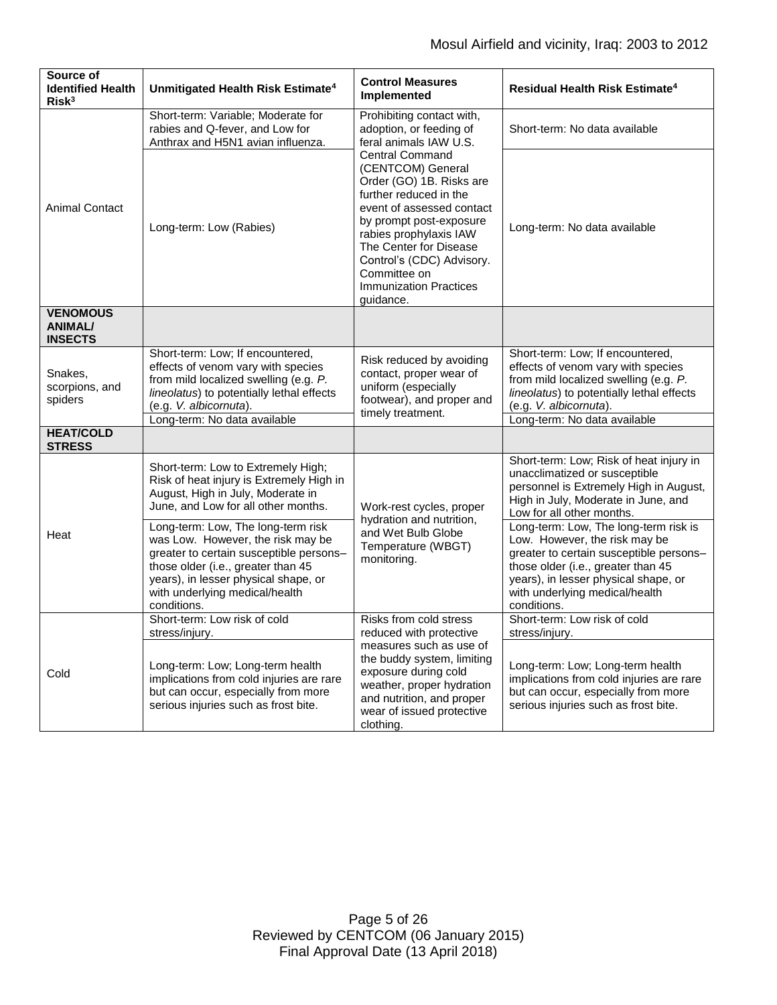| Source of<br><b>Identified Health</b><br>Risk <sup>3</sup> | Unmitigated Health Risk Estimate <sup>4</sup>                                                                                                                                                                                                                                    | <b>Control Measures</b><br>Implemented                                                                                                                                                                                                                                                                   | <b>Residual Health Risk Estimate<sup>4</sup></b>                                                                                                                                                                                                                                                            |
|------------------------------------------------------------|----------------------------------------------------------------------------------------------------------------------------------------------------------------------------------------------------------------------------------------------------------------------------------|----------------------------------------------------------------------------------------------------------------------------------------------------------------------------------------------------------------------------------------------------------------------------------------------------------|-------------------------------------------------------------------------------------------------------------------------------------------------------------------------------------------------------------------------------------------------------------------------------------------------------------|
|                                                            | Short-term: Variable; Moderate for<br>rabies and Q-fever, and Low for<br>Anthrax and H5N1 avian influenza.                                                                                                                                                                       | Prohibiting contact with,<br>adoption, or feeding of<br>feral animals IAW U.S.                                                                                                                                                                                                                           | Short-term: No data available                                                                                                                                                                                                                                                                               |
| <b>Animal Contact</b>                                      | Long-term: Low (Rabies)                                                                                                                                                                                                                                                          | <b>Central Command</b><br>(CENTCOM) General<br>Order (GO) 1B. Risks are<br>further reduced in the<br>event of assessed contact<br>by prompt post-exposure<br>rabies prophylaxis IAW<br>The Center for Disease<br>Control's (CDC) Advisory.<br>Committee on<br><b>Immunization Practices</b><br>guidance. | Long-term: No data available                                                                                                                                                                                                                                                                                |
| <b>VENOMOUS</b><br><b>ANIMAL/</b><br><b>INSECTS</b>        |                                                                                                                                                                                                                                                                                  |                                                                                                                                                                                                                                                                                                          |                                                                                                                                                                                                                                                                                                             |
| Snakes,<br>scorpions, and<br>spiders                       | Short-term: Low; If encountered,<br>effects of venom vary with species<br>from mild localized swelling (e.g. P.<br>lineolatus) to potentially lethal effects<br>(e.g. V. albicornuta).<br>Long-term: No data available                                                           | Risk reduced by avoiding<br>contact, proper wear of<br>uniform (especially<br>footwear), and proper and<br>timely treatment.                                                                                                                                                                             | Short-term: Low; If encountered,<br>effects of venom vary with species<br>from mild localized swelling (e.g. P.<br>lineolatus) to potentially lethal effects<br>(e.g. V. albicornuta).<br>Long-term: No data available                                                                                      |
| <b>HEAT/COLD</b>                                           |                                                                                                                                                                                                                                                                                  |                                                                                                                                                                                                                                                                                                          |                                                                                                                                                                                                                                                                                                             |
| <b>STRESS</b><br>Heat                                      | Short-term: Low to Extremely High;<br>Risk of heat injury is Extremely High in<br>August, High in July, Moderate in<br>June, and Low for all other months.<br>Long-term: Low, The long-term risk<br>was Low. However, the risk may be<br>greater to certain susceptible persons- | Work-rest cycles, proper<br>hydration and nutrition,<br>and Wet Bulb Globe<br>Temperature (WBGT)<br>monitoring.                                                                                                                                                                                          | Short-term: Low; Risk of heat injury in<br>unacclimatized or susceptible<br>personnel is Extremely High in August,<br>High in July, Moderate in June, and<br>Low for all other months.<br>Long-term: Low, The long-term risk is<br>Low. However, the risk may be<br>greater to certain susceptible persons- |
|                                                            | those older (i.e., greater than 45<br>years), in lesser physical shape, or<br>with underlying medical/health<br>conditions.                                                                                                                                                      |                                                                                                                                                                                                                                                                                                          | those older (i.e., greater than 45<br>years), in lesser physical shape, or<br>with underlying medical/health<br>conditions.                                                                                                                                                                                 |
| Cold                                                       | Short-term: Low risk of cold<br>stress/injury.                                                                                                                                                                                                                                   | Risks from cold stress<br>reduced with protective                                                                                                                                                                                                                                                        | Short-term: Low risk of cold<br>stress/injury.                                                                                                                                                                                                                                                              |
|                                                            | Long-term: Low; Long-term health<br>implications from cold injuries are rare<br>but can occur, especially from more<br>serious injuries such as frost bite.                                                                                                                      | measures such as use of<br>the buddy system, limiting<br>exposure during cold<br>weather, proper hydration<br>and nutrition, and proper<br>wear of issued protective<br>clothing.                                                                                                                        | Long-term: Low; Long-term health<br>implications from cold injuries are rare<br>but can occur, especially from more<br>serious injuries such as frost bite.                                                                                                                                                 |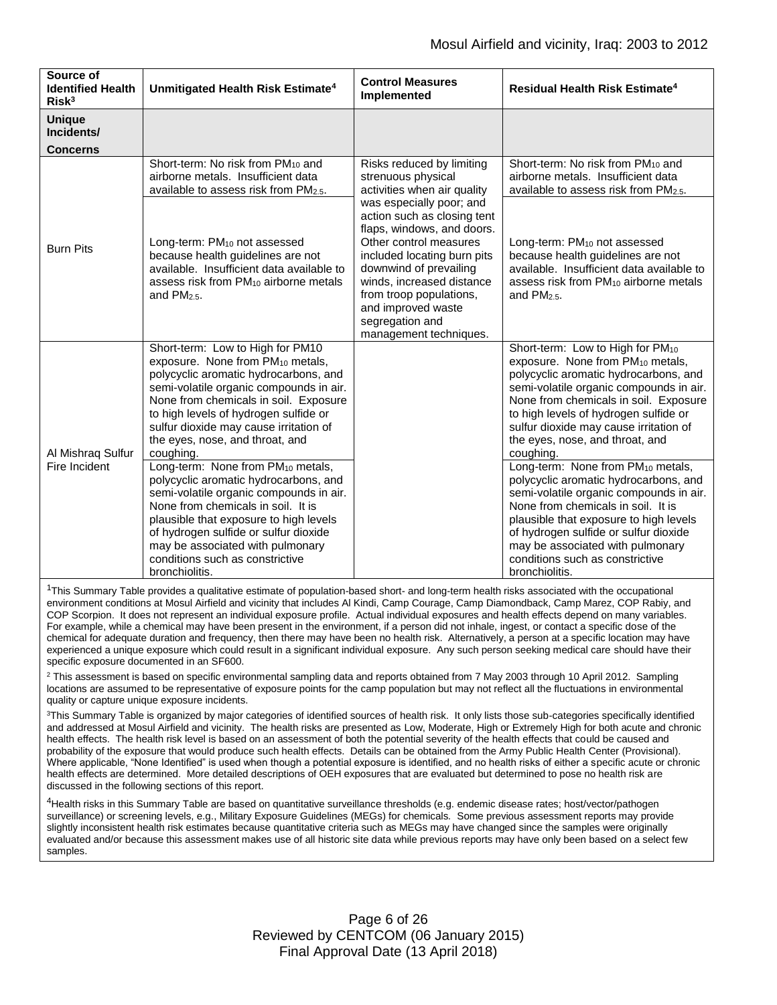| Source of<br><b>Identified Health</b><br>Risk <sup>3</sup>                             | Unmitigated Health Risk Estimate <sup>4</sup>                                                                                                                                                                                                                                                                                                       | <b>Control Measures</b><br>Implemented                                                                                                                                                                                                                                                                                                                                                | <b>Residual Health Risk Estimate<sup>4</sup></b>                                                                                                                                                                                                                                                                                                             |
|----------------------------------------------------------------------------------------|-----------------------------------------------------------------------------------------------------------------------------------------------------------------------------------------------------------------------------------------------------------------------------------------------------------------------------------------------------|---------------------------------------------------------------------------------------------------------------------------------------------------------------------------------------------------------------------------------------------------------------------------------------------------------------------------------------------------------------------------------------|--------------------------------------------------------------------------------------------------------------------------------------------------------------------------------------------------------------------------------------------------------------------------------------------------------------------------------------------------------------|
| <b>Unique</b><br>Incidents/<br><b>Concerns</b>                                         |                                                                                                                                                                                                                                                                                                                                                     |                                                                                                                                                                                                                                                                                                                                                                                       |                                                                                                                                                                                                                                                                                                                                                              |
| Long-term: PM <sub>10</sub> not assessed<br><b>Burn Pits</b><br>and PM <sub>25</sub> . | Short-term: No risk from PM <sub>10</sub> and<br>airborne metals. Insufficient data<br>available to assess risk from PM2.5.                                                                                                                                                                                                                         | Risks reduced by limiting<br>strenuous physical<br>activities when air quality<br>was especially poor; and<br>action such as closing tent<br>flaps, windows, and doors.<br>Other control measures<br>included locating burn pits<br>downwind of prevailing<br>winds, increased distance<br>from troop populations,<br>and improved waste<br>segregation and<br>management techniques. | Short-term: No risk from PM <sub>10</sub> and<br>airborne metals. Insufficient data<br>available to assess risk from PM2.5.                                                                                                                                                                                                                                  |
|                                                                                        | because health guidelines are not<br>available. Insufficient data available to<br>assess risk from PM <sub>10</sub> airborne metals                                                                                                                                                                                                                 |                                                                                                                                                                                                                                                                                                                                                                                       | Long-term: PM <sub>10</sub> not assessed<br>because health guidelines are not<br>available. Insufficient data available to<br>assess risk from PM <sub>10</sub> airborne metals<br>and PM <sub>25</sub> .                                                                                                                                                    |
| Al Mishraq Sulfur<br>Fire Incident                                                     | Short-term: Low to High for PM10<br>exposure. None from PM <sub>10</sub> metals,<br>polycyclic aromatic hydrocarbons, and<br>semi-volatile organic compounds in air.<br>None from chemicals in soil. Exposure<br>to high levels of hydrogen sulfide or<br>sulfur dioxide may cause irritation of<br>the eyes, nose, and throat, and<br>coughing.    |                                                                                                                                                                                                                                                                                                                                                                                       | Short-term: Low to High for PM <sub>10</sub><br>exposure. None from PM <sub>10</sub> metals,<br>polycyclic aromatic hydrocarbons, and<br>semi-volatile organic compounds in air.<br>None from chemicals in soil. Exposure<br>to high levels of hydrogen sulfide or<br>sulfur dioxide may cause irritation of<br>the eyes, nose, and throat, and<br>coughing. |
|                                                                                        | Long-term: None from PM <sub>10</sub> metals,<br>polycyclic aromatic hydrocarbons, and<br>semi-volatile organic compounds in air.<br>None from chemicals in soil. It is<br>plausible that exposure to high levels<br>of hydrogen sulfide or sulfur dioxide<br>may be associated with pulmonary<br>conditions such as constrictive<br>bronchiolitis. |                                                                                                                                                                                                                                                                                                                                                                                       | Long-term: None from PM <sub>10</sub> metals,<br>polycyclic aromatic hydrocarbons, and<br>semi-volatile organic compounds in air.<br>None from chemicals in soil. It is<br>plausible that exposure to high levels<br>of hydrogen sulfide or sulfur dioxide<br>may be associated with pulmonary<br>conditions such as constrictive<br>bronchiolitis.          |

<sup>1</sup>This Summary Table provides a qualitative estimate of population-based short- and long-term health risks associated with the occupational environment conditions at Mosul Airfield and vicinity that includes Al Kindi, Camp Courage, Camp Diamondback, Camp Marez, COP Rabiy, and COP Scorpion. It does not represent an individual exposure profile. Actual individual exposures and health effects depend on many variables. For example, while a chemical may have been present in the environment, if a person did not inhale, ingest, or contact a specific dose of the chemical for adequate duration and frequency, then there may have been no health risk. Alternatively, a person at a specific location may have experienced a unique exposure which could result in a significant individual exposure. Any such person seeking medical care should have their specific exposure documented in an SF600.

 $2$  This assessment is based on specific environmental sampling data and reports obtained from 7 May 2003 through 10 April 2012. Sampling locations are assumed to be representative of exposure points for the camp population but may not reflect all the fluctuations in environmental quality or capture unique exposure incidents.

<sup>3</sup>This Summary Table is organized by major categories of identified sources of health risk. It only lists those sub-categories specifically identified and addressed at Mosul Airfield and vicinity. The health risks are presented as Low, Moderate, High or Extremely High for both acute and chronic health effects. The health risk level is based on an assessment of both the potential severity of the health effects that could be caused and probability of the exposure that would produce such health effects. Details can be obtained from the Army Public Health Center (Provisional). Where applicable, "None Identified" is used when though a potential exposure is identified, and no health risks of either a specific acute or chronic health effects are determined. More detailed descriptions of OEH exposures that are evaluated but determined to pose no health risk are discussed in the following sections of this report.

4Health risks in this Summary Table are based on quantitative surveillance thresholds (e.g. endemic disease rates; host/vector/pathogen surveillance) or screening levels, e.g., Military Exposure Guidelines (MEGs) for chemicals*.* Some previous assessment reports may provide slightly inconsistent health risk estimates because quantitative criteria such as MEGs may have changed since the samples were originally evaluated and/or because this assessment makes use of all historic site data while previous reports may have only been based on a select few samples.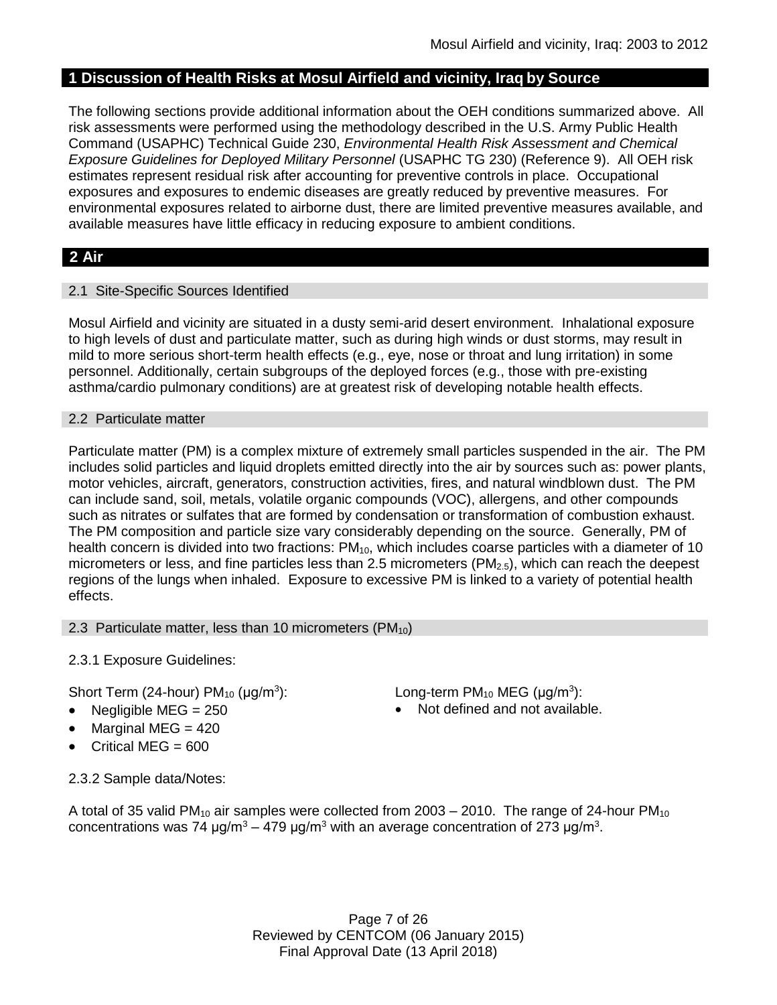## **1 Discussion of Health Risks at Mosul Airfield and vicinity, Iraq by Source**

The following sections provide additional information about the OEH conditions summarized above. All risk assessments were performed using the methodology described in the U.S. Army Public Health Command (USAPHC) Technical Guide 230, *Environmental Health Risk Assessment and Chemical Exposure Guidelines for Deployed Military Personnel* (USAPHC TG 230) (Reference 9). All OEH risk estimates represent residual risk after accounting for preventive controls in place. Occupational exposures and exposures to endemic diseases are greatly reduced by preventive measures. For environmental exposures related to airborne dust, there are limited preventive measures available, and available measures have little efficacy in reducing exposure to ambient conditions.

## **2 Air**

## 2.1 Site-Specific Sources Identified

Mosul Airfield and vicinity are situated in a dusty semi-arid desert environment. Inhalational exposure to high levels of dust and particulate matter, such as during high winds or dust storms, may result in mild to more serious short-term health effects (e.g., eye, nose or throat and lung irritation) in some personnel. Additionally, certain subgroups of the deployed forces (e.g., those with pre-existing asthma/cardio pulmonary conditions) are at greatest risk of developing notable health effects.

## 2.2 Particulate matter

Particulate matter (PM) is a complex mixture of extremely small particles suspended in the air. The PM includes solid particles and liquid droplets emitted directly into the air by sources such as: power plants, motor vehicles, aircraft, generators, construction activities, fires, and natural windblown dust. The PM can include sand, soil, metals, volatile organic compounds (VOC), allergens, and other compounds such as nitrates or sulfates that are formed by condensation or transformation of combustion exhaust. The PM composition and particle size vary considerably depending on the source. Generally, PM of health concern is divided into two fractions:  $PM_{10}$ , which includes coarse particles with a diameter of 10 micrometers or less, and fine particles less than 2.5 micrometers ( $PM<sub>2.5</sub>$ ), which can reach the deepest regions of the lungs when inhaled. Exposure to excessive PM is linked to a variety of potential health effects.

#### 2.3 Particulate matter, less than 10 micrometers (PM<sub>10</sub>)

2.3.1 Exposure Guidelines:

Short Term (24-hour)  $PM_{10}$  ( $\mu q/m^3$ ):

- 
- Marginal MEG = 420
- Critical MEG = 600

): Long-term PM<sub>10</sub> MEG ( $\mu$ g/m<sup>3</sup>):

Negligible  $MEG = 250$  Not defined and not available.

2.3.2 Sample data/Notes:

A total of 35 valid PM<sub>10</sub> air samples were collected from 2003 – 2010. The range of 24-hour PM<sub>10</sub> concentrations was 74 μg/m<sup>3</sup> – 479 μg/m<sup>3</sup> with an average concentration of 273 μg/m<sup>3</sup>.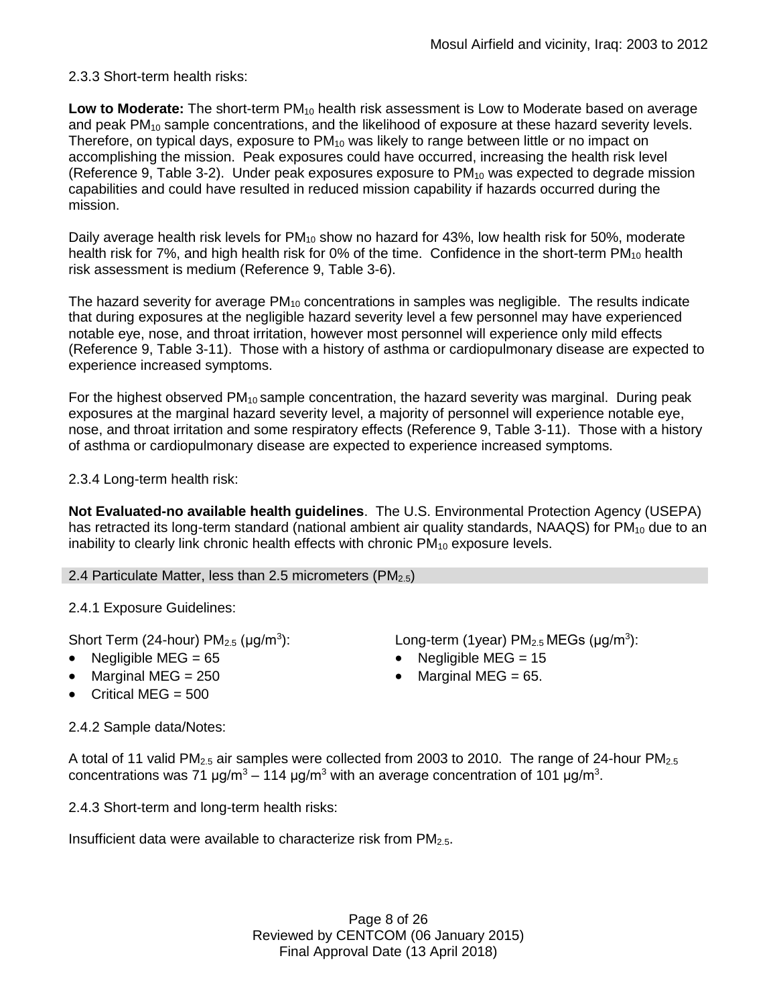## 2.3.3 Short-term health risks:

**Low to Moderate:** The short-term PM<sub>10</sub> health risk assessment is Low to Moderate based on average and peak PM<sub>10</sub> sample concentrations, and the likelihood of exposure at these hazard severity levels. Therefore, on typical days, exposure to  $PM_{10}$  was likely to range between little or no impact on accomplishing the mission. Peak exposures could have occurred, increasing the health risk level (Reference 9, Table 3-2). Under peak exposures exposure to  $PM_{10}$  was expected to degrade mission capabilities and could have resulted in reduced mission capability if hazards occurred during the mission.

Daily average health risk levels for PM<sub>10</sub> show no hazard for 43%, low health risk for 50%, moderate health risk for 7%, and high health risk for 0% of the time. Confidence in the short-term  $PM_{10}$  health risk assessment is medium (Reference 9, Table 3-6).

The hazard severity for average  $PM_{10}$  concentrations in samples was negligible. The results indicate that during exposures at the negligible hazard severity level a few personnel may have experienced notable eye, nose, and throat irritation, however most personnel will experience only mild effects (Reference 9, Table 3-11). Those with a history of asthma or cardiopulmonary disease are expected to experience increased symptoms.

For the highest observed  $PM_{10}$  sample concentration, the hazard severity was marginal. During peak exposures at the marginal hazard severity level, a majority of personnel will experience notable eye, nose, and throat irritation and some respiratory effects (Reference 9, Table 3-11). Those with a history of asthma or cardiopulmonary disease are expected to experience increased symptoms.

2.3.4 Long-term health risk:

**Not Evaluated-no available health guidelines**. The U.S. Environmental Protection Agency (USEPA) has retracted its long-term standard (national ambient air quality standards, NAAQS) for  $PM_{10}$  due to an inability to clearly link chronic health effects with chronic  $PM_{10}$  exposure levels.

2.4 Particulate Matter, less than 2.5 micrometers ( $PM_{2.5}$ )

2.4.1 Exposure Guidelines:

Short Term (24-hour)  $PM<sub>2.5</sub>$  ( $\mu$ g/m<sup>3</sup>):

- 
- Marginal MEG =  $250$  extended to Marginal MEG =  $65$ .
- $\bullet$  Critical MEG = 500

2.4.2 Sample data/Notes:

): Long-term (1year)  $PM_{2.5}$  MEGs ( $\mu$ g/m<sup>3</sup>):

- Negligible MEG = 65 Negligible MEG = 15
	-

A total of 11 valid PM<sub>2.5</sub> air samples were collected from 2003 to 2010. The range of 24-hour PM<sub>2.5</sub> concentrations was 71 μg/m<sup>3</sup> – 114 μg/m<sup>3</sup> with an average concentration of 101 μg/m<sup>3</sup>.

2.4.3 Short-term and long-term health risks:

Insufficient data were available to characterize risk from PM2.5.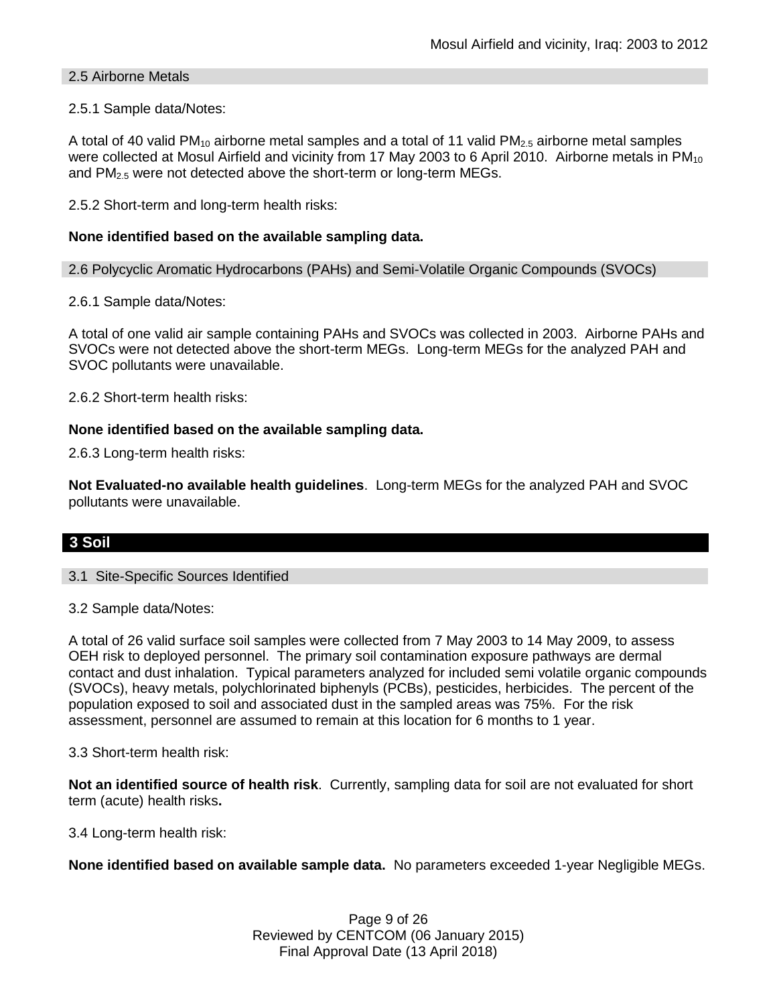## 2.5 Airborne Metals

## 2.5.1 Sample data/Notes:

A total of 40 valid PM<sub>10</sub> airborne metal samples and a total of 11 valid PM<sub>2.5</sub> airborne metal samples were collected at Mosul Airfield and vicinity from 17 May 2003 to 6 April 2010. Airborne metals in PM<sub>10</sub> and PM<sub>2.5</sub> were not detected above the short-term or long-term MEGs.

2.5.2 Short-term and long-term health risks:

## **None identified based on the available sampling data.**

2.6 Polycyclic Aromatic Hydrocarbons (PAHs) and Semi-Volatile Organic Compounds (SVOCs)

2.6.1 Sample data/Notes:

A total of one valid air sample containing PAHs and SVOCs was collected in 2003. Airborne PAHs and SVOCs were not detected above the short-term MEGs. Long-term MEGs for the analyzed PAH and SVOC pollutants were unavailable.

2.6.2 Short-term health risks:

## **None identified based on the available sampling data.**

2.6.3 Long-term health risks:

**Not Evaluated-no available health guidelines**. Long-term MEGs for the analyzed PAH and SVOC pollutants were unavailable.

## **3 Soil**

#### 3.1 Site-Specific Sources Identified

3.2 Sample data/Notes:

A total of 26 valid surface soil samples were collected from 7 May 2003 to 14 May 2009, to assess OEH risk to deployed personnel. The primary soil contamination exposure pathways are dermal contact and dust inhalation. Typical parameters analyzed for included semi volatile organic compounds (SVOCs), heavy metals, polychlorinated biphenyls (PCBs), pesticides, herbicides. The percent of the population exposed to soil and associated dust in the sampled areas was 75%. For the risk assessment, personnel are assumed to remain at this location for 6 months to 1 year.

3.3 Short-term health risk:

**Not an identified source of health risk**. Currently, sampling data for soil are not evaluated for short term (acute) health risks**.**

3.4 Long-term health risk:

**None identified based on available sample data.** No parameters exceeded 1-year Negligible MEGs.

Page 9 of 26 Reviewed by CENTCOM (06 January 2015) Final Approval Date (13 April 2018)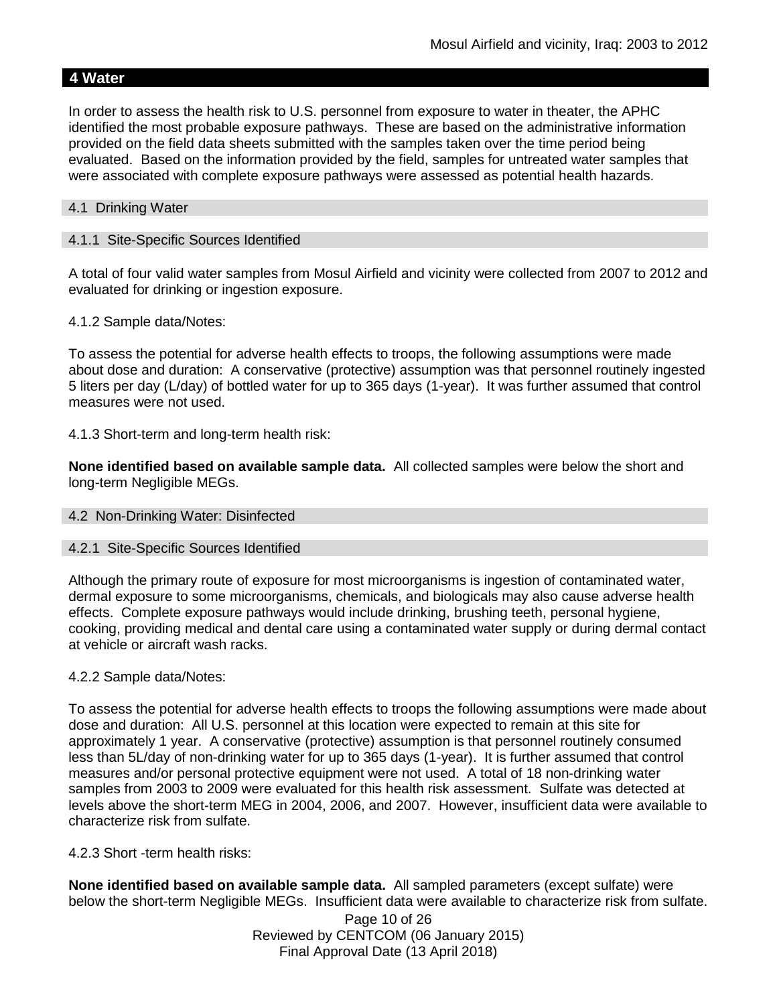## **4 Water**

In order to assess the health risk to U.S. personnel from exposure to water in theater, the APHC identified the most probable exposure pathways. These are based on the administrative information provided on the field data sheets submitted with the samples taken over the time period being evaluated. Based on the information provided by the field, samples for untreated water samples that were associated with complete exposure pathways were assessed as potential health hazards.

### 4.1 Drinking Water

### 4.1.1 Site-Specific Sources Identified

A total of four valid water samples from Mosul Airfield and vicinity were collected from 2007 to 2012 and evaluated for drinking or ingestion exposure.

4.1.2 Sample data/Notes:

To assess the potential for adverse health effects to troops, the following assumptions were made about dose and duration: A conservative (protective) assumption was that personnel routinely ingested 5 liters per day (L/day) of bottled water for up to 365 days (1-year). It was further assumed that control measures were not used.

4.1.3 Short-term and long-term health risk:

**None identified based on available sample data.** All collected samples were below the short and long-term Negligible MEGs.

#### 4.2 Non-Drinking Water: Disinfected

#### 4.2.1 Site-Specific Sources Identified

Although the primary route of exposure for most microorganisms is ingestion of contaminated water, dermal exposure to some microorganisms, chemicals, and biologicals may also cause adverse health effects. Complete exposure pathways would include drinking, brushing teeth, personal hygiene, cooking, providing medical and dental care using a contaminated water supply or during dermal contact at vehicle or aircraft wash racks.

#### 4.2.2 Sample data/Notes:

To assess the potential for adverse health effects to troops the following assumptions were made about dose and duration: All U.S. personnel at this location were expected to remain at this site for approximately 1 year. A conservative (protective) assumption is that personnel routinely consumed less than 5L/day of non-drinking water for up to 365 days (1-year). It is further assumed that control measures and/or personal protective equipment were not used. A total of 18 non-drinking water samples from 2003 to 2009 were evaluated for this health risk assessment. Sulfate was detected at levels above the short-term MEG in 2004, 2006, and 2007. However, insufficient data were available to characterize risk from sulfate.

4.2.3 Short -term health risks:

**None identified based on available sample data.** All sampled parameters (except sulfate) were below the short-term Negligible MEGs. Insufficient data were available to characterize risk from sulfate.

> Page 10 of 26 Reviewed by CENTCOM (06 January 2015) Final Approval Date (13 April 2018)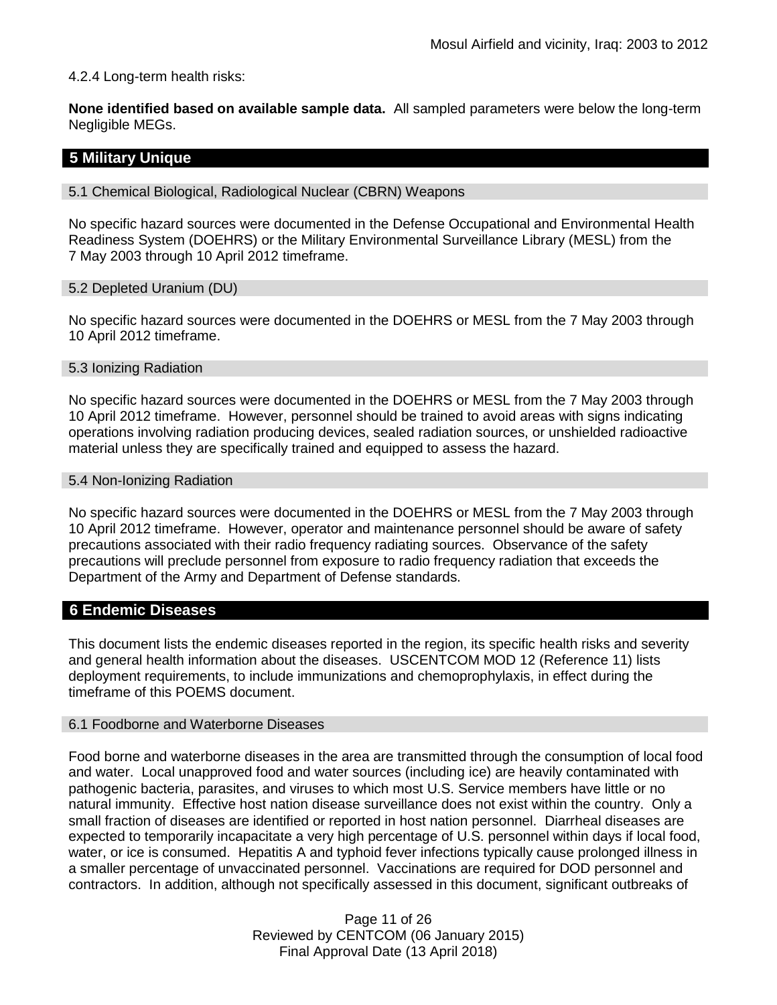## 4.2.4 Long-term health risks:

**None identified based on available sample data.** All sampled parameters were below the long-term Negligible MEGs.

## **5 Military Unique**

5.1 Chemical Biological, Radiological Nuclear (CBRN) Weapons

No specific hazard sources were documented in the Defense Occupational and Environmental Health Readiness System (DOEHRS) or the Military Environmental Surveillance Library (MESL) from the 7 May 2003 through 10 April 2012 timeframe.

5.2 Depleted Uranium (DU)

No specific hazard sources were documented in the DOEHRS or MESL from the 7 May 2003 through 10 April 2012 timeframe.

#### 5.3 Ionizing Radiation

No specific hazard sources were documented in the DOEHRS or MESL from the 7 May 2003 through 10 April 2012 timeframe. However, personnel should be trained to avoid areas with signs indicating operations involving radiation producing devices, sealed radiation sources, or unshielded radioactive material unless they are specifically trained and equipped to assess the hazard.

#### 5.4 Non-Ionizing Radiation

No specific hazard sources were documented in the DOEHRS or MESL from the 7 May 2003 through 10 April 2012 timeframe. However, operator and maintenance personnel should be aware of safety precautions associated with their radio frequency radiating sources. Observance of the safety precautions will preclude personnel from exposure to radio frequency radiation that exceeds the Department of the Army and Department of Defense standards.

## **6 Endemic Diseases**

This document lists the endemic diseases reported in the region, its specific health risks and severity and general health information about the diseases. USCENTCOM MOD 12 (Reference 11) lists deployment requirements, to include immunizations and chemoprophylaxis, in effect during the timeframe of this POEMS document.

#### 6.1 Foodborne and Waterborne Diseases

Food borne and waterborne diseases in the area are transmitted through the consumption of local food and water. Local unapproved food and water sources (including ice) are heavily contaminated with pathogenic bacteria, parasites, and viruses to which most U.S. Service members have little or no natural immunity. Effective host nation disease surveillance does not exist within the country. Only a small fraction of diseases are identified or reported in host nation personnel. Diarrheal diseases are expected to temporarily incapacitate a very high percentage of U.S. personnel within days if local food, water, or ice is consumed. Hepatitis A and typhoid fever infections typically cause prolonged illness in a smaller percentage of unvaccinated personnel. Vaccinations are required for DOD personnel and contractors. In addition, although not specifically assessed in this document, significant outbreaks of

> Page 11 of 26 Reviewed by CENTCOM (06 January 2015) Final Approval Date (13 April 2018)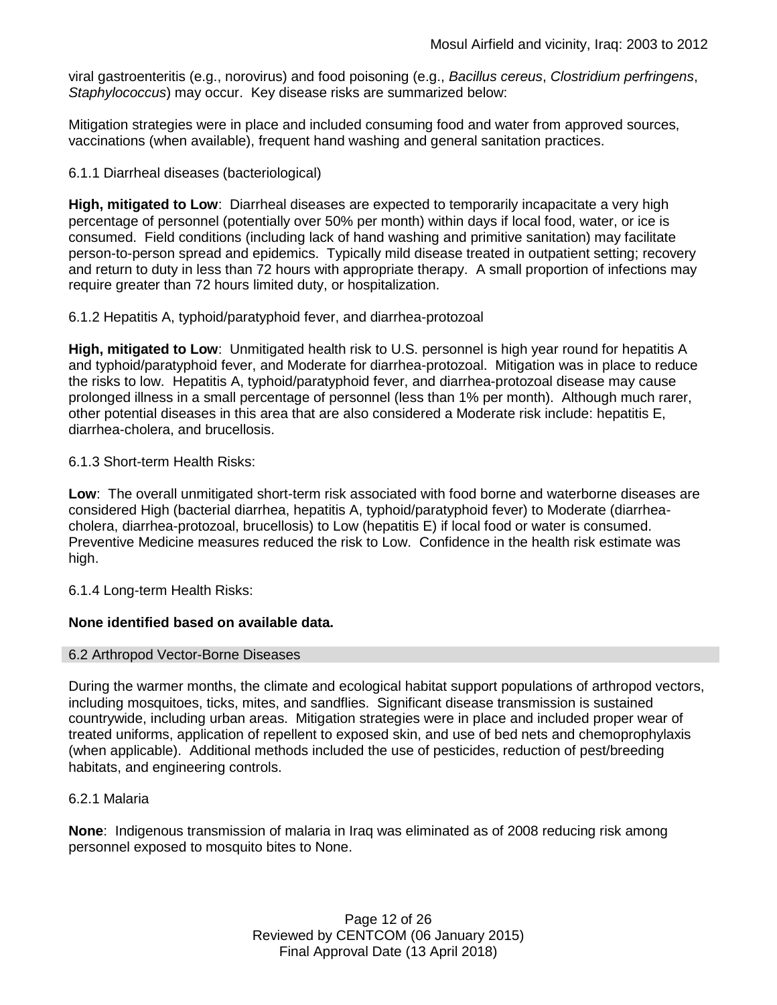viral gastroenteritis (e.g., norovirus) and food poisoning (e.g., *Bacillus cereus*, *Clostridium perfringens*, *Staphylococcus*) may occur. Key disease risks are summarized below:

Mitigation strategies were in place and included consuming food and water from approved sources, vaccinations (when available), frequent hand washing and general sanitation practices.

## 6.1.1 Diarrheal diseases (bacteriological)

**High, mitigated to Low**: Diarrheal diseases are expected to temporarily incapacitate a very high percentage of personnel (potentially over 50% per month) within days if local food, water, or ice is consumed. Field conditions (including lack of hand washing and primitive sanitation) may facilitate person-to-person spread and epidemics. Typically mild disease treated in outpatient setting; recovery and return to duty in less than 72 hours with appropriate therapy. A small proportion of infections may require greater than 72 hours limited duty, or hospitalization.

6.1.2 Hepatitis A, typhoid/paratyphoid fever, and diarrhea-protozoal

**High, mitigated to Low**: Unmitigated health risk to U.S. personnel is high year round for hepatitis A and typhoid/paratyphoid fever, and Moderate for diarrhea-protozoal. Mitigation was in place to reduce the risks to low. Hepatitis A, typhoid/paratyphoid fever, and diarrhea-protozoal disease may cause prolonged illness in a small percentage of personnel (less than 1% per month). Although much rarer, other potential diseases in this area that are also considered a Moderate risk include: hepatitis E, diarrhea-cholera, and brucellosis.

## 6.1.3 Short-term Health Risks:

**Low**: The overall unmitigated short-term risk associated with food borne and waterborne diseases are considered High (bacterial diarrhea, hepatitis A, typhoid/paratyphoid fever) to Moderate (diarrheacholera, diarrhea-protozoal, brucellosis) to Low (hepatitis E) if local food or water is consumed. Preventive Medicine measures reduced the risk to Low. Confidence in the health risk estimate was high.

6.1.4 Long-term Health Risks:

## **None identified based on available data.**

#### 6.2 Arthropod Vector-Borne Diseases

During the warmer months, the climate and ecological habitat support populations of arthropod vectors, including mosquitoes, ticks, mites, and sandflies. Significant disease transmission is sustained countrywide, including urban areas. Mitigation strategies were in place and included proper wear of treated uniforms, application of repellent to exposed skin, and use of bed nets and chemoprophylaxis (when applicable). Additional methods included the use of pesticides, reduction of pest/breeding habitats, and engineering controls.

#### 6.2.1 Malaria

**None**: Indigenous transmission of malaria in Iraq was eliminated as of 2008 reducing risk among personnel exposed to mosquito bites to None.

> Page 12 of 26 Reviewed by CENTCOM (06 January 2015) Final Approval Date (13 April 2018)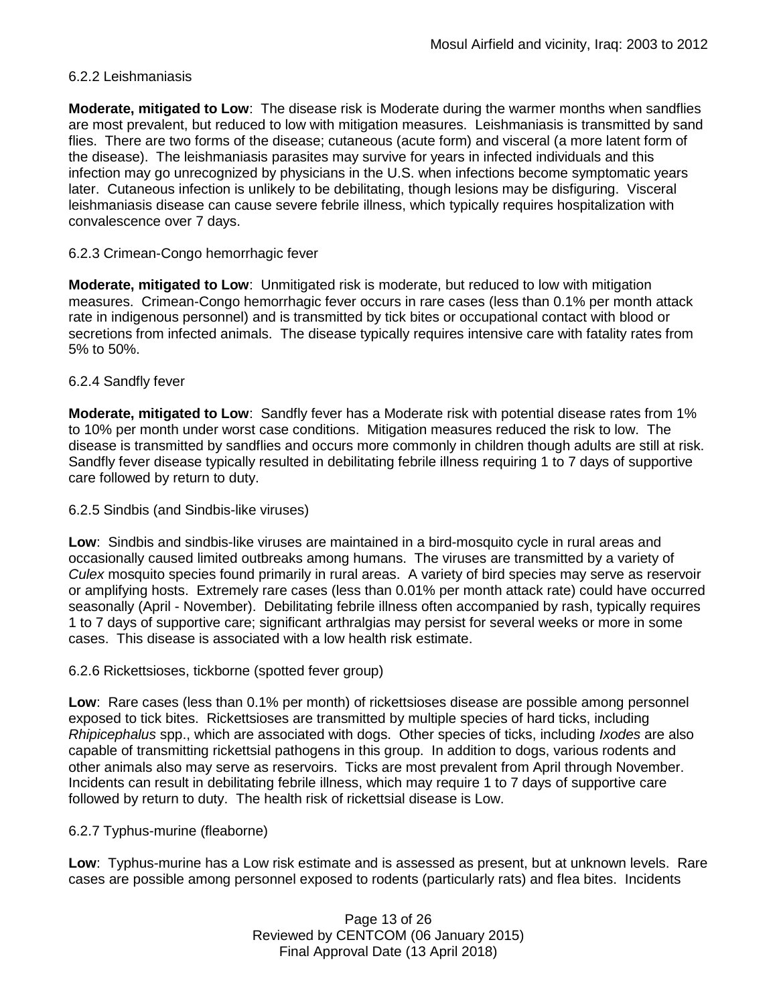## 6.2.2 Leishmaniasis

**Moderate, mitigated to Low**: The disease risk is Moderate during the warmer months when sandflies are most prevalent, but reduced to low with mitigation measures. Leishmaniasis is transmitted by sand flies. There are two forms of the disease; cutaneous (acute form) and visceral (a more latent form of the disease). The leishmaniasis parasites may survive for years in infected individuals and this infection may go unrecognized by physicians in the U.S. when infections become symptomatic years later. Cutaneous infection is unlikely to be debilitating, though lesions may be disfiguring. Visceral leishmaniasis disease can cause severe febrile illness, which typically requires hospitalization with convalescence over 7 days.

## 6.2.3 Crimean-Congo hemorrhagic fever

**Moderate, mitigated to Low**: Unmitigated risk is moderate, but reduced to low with mitigation measures. Crimean-Congo hemorrhagic fever occurs in rare cases (less than 0.1% per month attack rate in indigenous personnel) and is transmitted by tick bites or occupational contact with blood or secretions from infected animals. The disease typically requires intensive care with fatality rates from 5% to 50%.

## 6.2.4 Sandfly fever

**Moderate, mitigated to Low**: Sandfly fever has a Moderate risk with potential disease rates from 1% to 10% per month under worst case conditions. Mitigation measures reduced the risk to low. The disease is transmitted by sandflies and occurs more commonly in children though adults are still at risk. Sandfly fever disease typically resulted in debilitating febrile illness requiring 1 to 7 days of supportive care followed by return to duty.

#### 6.2.5 Sindbis (and Sindbis-like viruses)

**Low**: Sindbis and sindbis-like viruses are maintained in a bird-mosquito cycle in rural areas and occasionally caused limited outbreaks among humans. The viruses are transmitted by a variety of *Culex* mosquito species found primarily in rural areas. A variety of bird species may serve as reservoir or amplifying hosts. Extremely rare cases (less than 0.01% per month attack rate) could have occurred seasonally (April - November). Debilitating febrile illness often accompanied by rash, typically requires 1 to 7 days of supportive care; significant arthralgias may persist for several weeks or more in some cases. This disease is associated with a low health risk estimate.

#### 6.2.6 Rickettsioses, tickborne (spotted fever group)

**Low**: Rare cases (less than 0.1% per month) of rickettsioses disease are possible among personnel exposed to tick bites. Rickettsioses are transmitted by multiple species of hard ticks, including *Rhipicephalus* spp., which are associated with dogs. Other species of ticks, including *Ixodes* are also capable of transmitting rickettsial pathogens in this group. In addition to dogs, various rodents and other animals also may serve as reservoirs. Ticks are most prevalent from April through November. Incidents can result in debilitating febrile illness, which may require 1 to 7 days of supportive care followed by return to duty. The health risk of rickettsial disease is Low.

#### 6.2.7 Typhus-murine (fleaborne)

**Low**: Typhus-murine has a Low risk estimate and is assessed as present, but at unknown levels. Rare cases are possible among personnel exposed to rodents (particularly rats) and flea bites. Incidents

> Page 13 of 26 Reviewed by CENTCOM (06 January 2015) Final Approval Date (13 April 2018)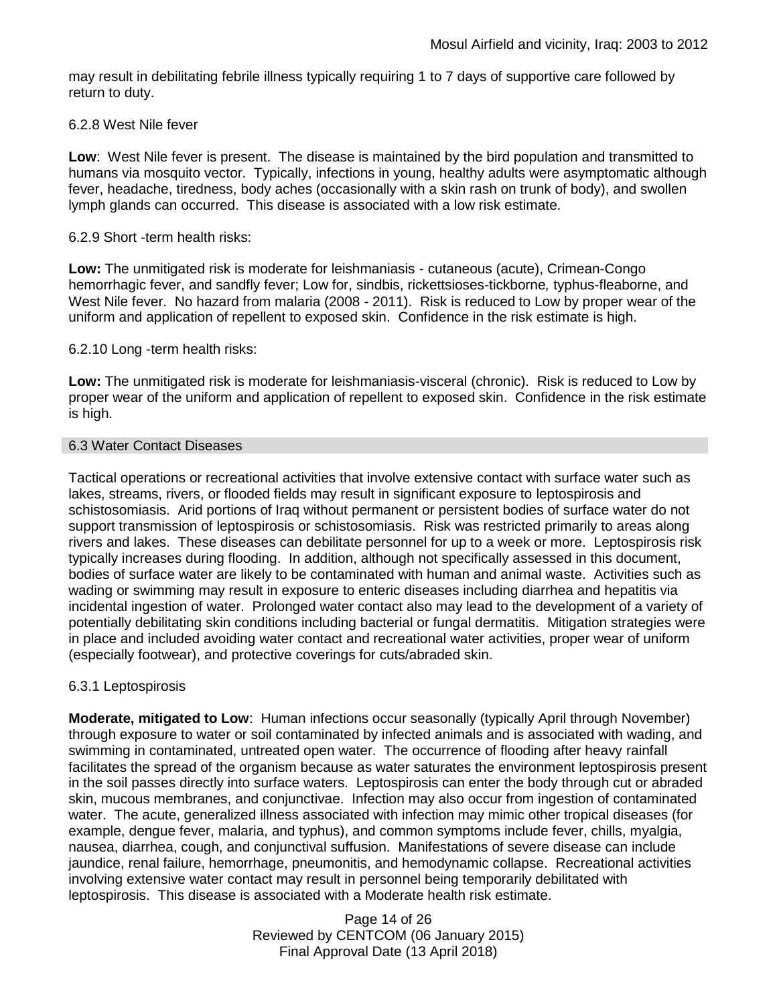may result in debilitating febrile illness typically requiring 1 to 7 days of supportive care followed by return to duty.

## 6.2.8 West Nile fever

**Low**: West Nile fever is present. The disease is maintained by the bird population and transmitted to humans via mosquito vector. Typically, infections in young, healthy adults were asymptomatic although fever, headache, tiredness, body aches (occasionally with a skin rash on trunk of body), and swollen lymph glands can occurred. This disease is associated with a low risk estimate.

### 6.2.9 Short -term health risks:

**Low:** The unmitigated risk is moderate for leishmaniasis - cutaneous (acute), Crimean-Congo hemorrhagic fever, and sandfly fever; Low for, sindbis, rickettsioses-tickborne*,* typhus-fleaborne, and West Nile fever. No hazard from malaria (2008 - 2011). Risk is reduced to Low by proper wear of the uniform and application of repellent to exposed skin. Confidence in the risk estimate is high.

## 6.2.10 Long -term health risks:

**Low:** The unmitigated risk is moderate for leishmaniasis-visceral (chronic). Risk is reduced to Low by proper wear of the uniform and application of repellent to exposed skin. Confidence in the risk estimate is high.

## 6.3 Water Contact Diseases

Tactical operations or recreational activities that involve extensive contact with surface water such as lakes, streams, rivers, or flooded fields may result in significant exposure to leptospirosis and schistosomiasis. Arid portions of Iraq without permanent or persistent bodies of surface water do not support transmission of leptospirosis or schistosomiasis. Risk was restricted primarily to areas along rivers and lakes. These diseases can debilitate personnel for up to a week or more. Leptospirosis risk typically increases during flooding. In addition, although not specifically assessed in this document, bodies of surface water are likely to be contaminated with human and animal waste. Activities such as wading or swimming may result in exposure to enteric diseases including diarrhea and hepatitis via incidental ingestion of water. Prolonged water contact also may lead to the development of a variety of potentially debilitating skin conditions including bacterial or fungal dermatitis. Mitigation strategies were in place and included avoiding water contact and recreational water activities, proper wear of uniform (especially footwear), and protective coverings for cuts/abraded skin.

## 6.3.1 Leptospirosis

**Moderate, mitigated to Low**: Human infections occur seasonally (typically April through November) through exposure to water or soil contaminated by infected animals and is associated with wading, and swimming in contaminated, untreated open water. The occurrence of flooding after heavy rainfall facilitates the spread of the organism because as water saturates the environment leptospirosis present in the soil passes directly into surface waters. Leptospirosis can enter the body through cut or abraded skin, mucous membranes, and conjunctivae. Infection may also occur from ingestion of contaminated water. The acute, generalized illness associated with infection may mimic other tropical diseases (for example, dengue fever, malaria, and typhus), and common symptoms include fever, chills, myalgia, nausea, diarrhea, cough, and conjunctival suffusion. Manifestations of severe disease can include jaundice, renal failure, hemorrhage, pneumonitis, and hemodynamic collapse. Recreational activities involving extensive water contact may result in personnel being temporarily debilitated with leptospirosis. This disease is associated with a Moderate health risk estimate.

> Page 14 of 26 Reviewed by CENTCOM (06 January 2015) Final Approval Date (13 April 2018)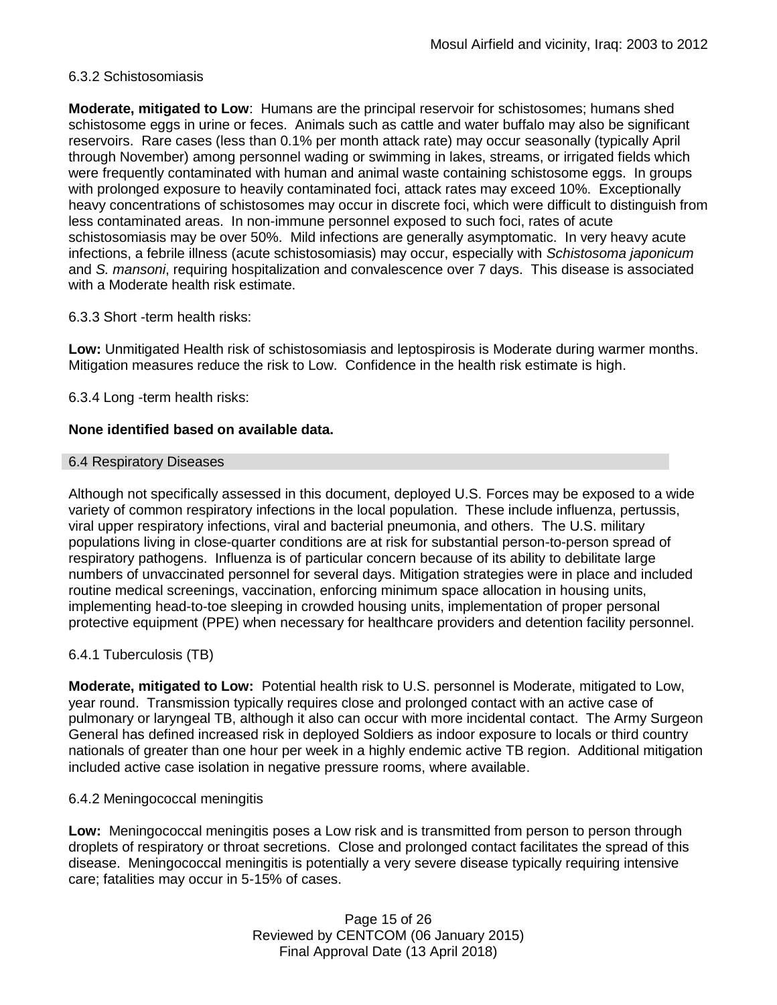## 6.3.2 Schistosomiasis

**Moderate, mitigated to Low**: Humans are the principal reservoir for schistosomes; humans shed schistosome eggs in urine or feces. Animals such as cattle and water buffalo may also be significant reservoirs. Rare cases (less than 0.1% per month attack rate) may occur seasonally (typically April through November) among personnel wading or swimming in lakes, streams, or irrigated fields which were frequently contaminated with human and animal waste containing schistosome eggs. In groups with prolonged exposure to heavily contaminated foci, attack rates may exceed 10%. Exceptionally heavy concentrations of schistosomes may occur in discrete foci, which were difficult to distinguish from less contaminated areas. In non-immune personnel exposed to such foci, rates of acute schistosomiasis may be over 50%. Mild infections are generally asymptomatic. In very heavy acute infections, a febrile illness (acute schistosomiasis) may occur, especially with *Schistosoma japonicum*  and *S. mansoni*, requiring hospitalization and convalescence over 7 days. This disease is associated with a Moderate health risk estimate.

## 6.3.3 Short -term health risks:

**Low:** Unmitigated Health risk of schistosomiasis and leptospirosis is Moderate during warmer months. Mitigation measures reduce the risk to Low. Confidence in the health risk estimate is high.

6.3.4 Long -term health risks:

## **None identified based on available data.**

#### 6.4 Respiratory Diseases

Although not specifically assessed in this document, deployed U.S. Forces may be exposed to a wide variety of common respiratory infections in the local population. These include influenza, pertussis, viral upper respiratory infections, viral and bacterial pneumonia, and others. The U.S. military populations living in close-quarter conditions are at risk for substantial person-to-person spread of respiratory pathogens. Influenza is of particular concern because of its ability to debilitate large numbers of unvaccinated personnel for several days. Mitigation strategies were in place and included routine medical screenings, vaccination, enforcing minimum space allocation in housing units, implementing head-to-toe sleeping in crowded housing units, implementation of proper personal protective equipment (PPE) when necessary for healthcare providers and detention facility personnel.

## 6.4.1 Tuberculosis (TB)

**Moderate, mitigated to Low:** Potential health risk to U.S. personnel is Moderate, mitigated to Low, year round. Transmission typically requires close and prolonged contact with an active case of pulmonary or laryngeal TB, although it also can occur with more incidental contact. The Army Surgeon General has defined increased risk in deployed Soldiers as indoor exposure to locals or third country nationals of greater than one hour per week in a highly endemic active TB region. Additional mitigation included active case isolation in negative pressure rooms, where available.

#### 6.4.2 Meningococcal meningitis

**Low:** Meningococcal meningitis poses a Low risk and is transmitted from person to person through droplets of respiratory or throat secretions. Close and prolonged contact facilitates the spread of this disease. Meningococcal meningitis is potentially a very severe disease typically requiring intensive care; fatalities may occur in 5-15% of cases.

> Page 15 of 26 Reviewed by CENTCOM (06 January 2015) Final Approval Date (13 April 2018)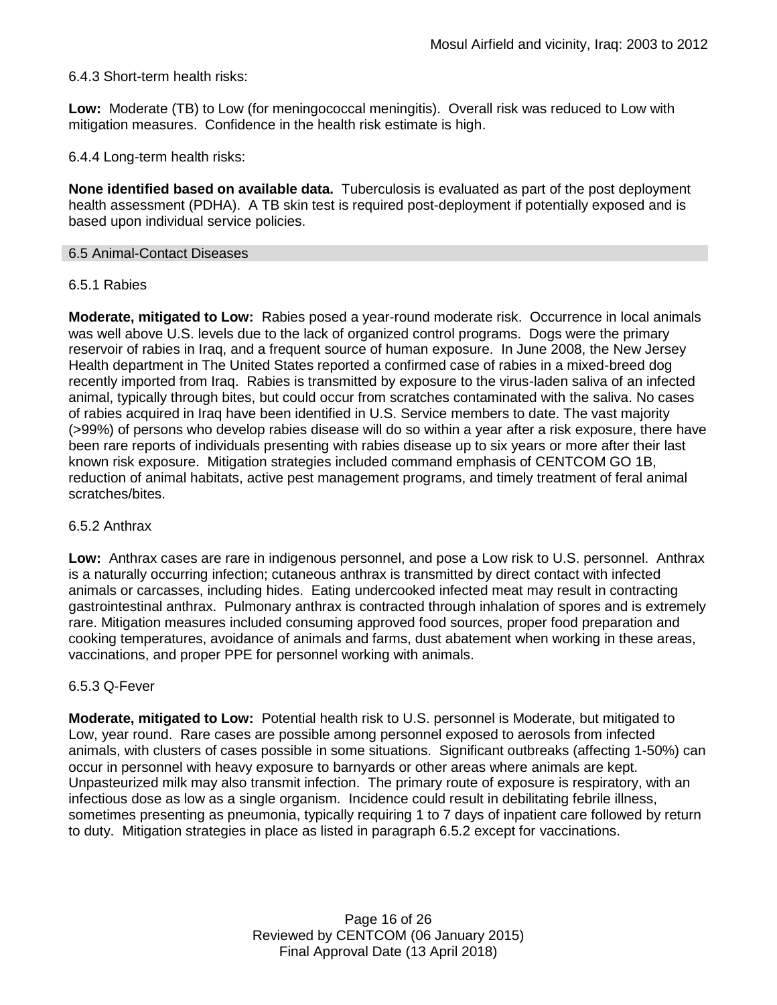## 6.4.3 Short-term health risks:

**Low:** Moderate (TB) to Low (for meningococcal meningitis). Overall risk was reduced to Low with mitigation measures. Confidence in the health risk estimate is high.

6.4.4 Long-term health risks:

**None identified based on available data.** Tuberculosis is evaluated as part of the post deployment health assessment (PDHA). A TB skin test is required post-deployment if potentially exposed and is based upon individual service policies.

#### 6.5 Animal-Contact Diseases

## 6.5.1 Rabies

**Moderate, mitigated to Low:** Rabies posed a year-round moderate risk. Occurrence in local animals was well above U.S. levels due to the lack of organized control programs. Dogs were the primary reservoir of rabies in Iraq, and a frequent source of human exposure. In June 2008, the New Jersey Health department in The United States reported a confirmed case of rabies in a mixed-breed dog recently imported from Iraq. Rabies is transmitted by exposure to the virus-laden saliva of an infected animal, typically through bites, but could occur from scratches contaminated with the saliva. No cases of rabies acquired in Iraq have been identified in U.S. Service members to date. The vast majority (>99%) of persons who develop rabies disease will do so within a year after a risk exposure, there have been rare reports of individuals presenting with rabies disease up to six years or more after their last known risk exposure. Mitigation strategies included command emphasis of CENTCOM GO 1B, reduction of animal habitats, active pest management programs, and timely treatment of feral animal scratches/bites.

#### 6.5.2 Anthrax

**Low:** Anthrax cases are rare in indigenous personnel, and pose a Low risk to U.S. personnel. Anthrax is a naturally occurring infection; cutaneous anthrax is transmitted by direct contact with infected animals or carcasses, including hides. Eating undercooked infected meat may result in contracting gastrointestinal anthrax. Pulmonary anthrax is contracted through inhalation of spores and is extremely rare. Mitigation measures included consuming approved food sources, proper food preparation and cooking temperatures, avoidance of animals and farms, dust abatement when working in these areas, vaccinations, and proper PPE for personnel working with animals.

#### 6.5.3 Q-Fever

**Moderate, mitigated to Low:** Potential health risk to U.S. personnel is Moderate, but mitigated to Low, year round. Rare cases are possible among personnel exposed to aerosols from infected animals, with clusters of cases possible in some situations. Significant outbreaks (affecting 1-50%) can occur in personnel with heavy exposure to barnyards or other areas where animals are kept. Unpasteurized milk may also transmit infection. The primary route of exposure is respiratory, with an infectious dose as low as a single organism. Incidence could result in debilitating febrile illness, sometimes presenting as pneumonia, typically requiring 1 to 7 days of inpatient care followed by return to duty. Mitigation strategies in place as listed in paragraph 6.5.2 except for vaccinations.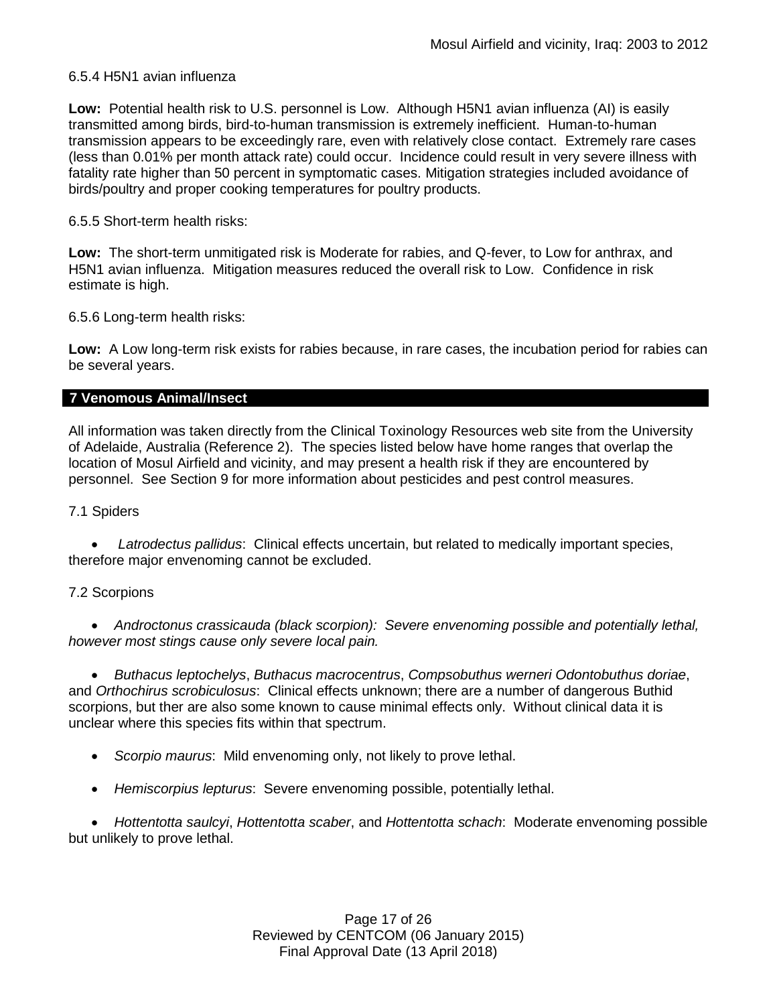## 6.5.4 H5N1 avian influenza

**Low:** Potential health risk to U.S. personnel is Low. Although H5N1 avian influenza (AI) is easily transmitted among birds, bird-to-human transmission is extremely inefficient. Human-to-human transmission appears to be exceedingly rare, even with relatively close contact. Extremely rare cases (less than 0.01% per month attack rate) could occur. Incidence could result in very severe illness with fatality rate higher than 50 percent in symptomatic cases. Mitigation strategies included avoidance of birds/poultry and proper cooking temperatures for poultry products.

## 6.5.5 Short-term health risks:

**Low:** The short-term unmitigated risk is Moderate for rabies, and Q-fever, to Low for anthrax, and H5N1 avian influenza. Mitigation measures reduced the overall risk to Low.Confidence in risk estimate is high.

6.5.6 Long-term health risks:

**Low:** A Low long-term risk exists for rabies because, in rare cases, the incubation period for rabies can be several years.

#### **7 Venomous Animal/Insect**

All information was taken directly from the Clinical Toxinology Resources web site from the University of Adelaide, Australia (Reference 2). The species listed below have home ranges that overlap the location of Mosul Airfield and vicinity, and may present a health risk if they are encountered by personnel. See Section 9 for more information about pesticides and pest control measures.

7.1 Spiders

 *Latrodectus pallidus*: Clinical effects uncertain, but related to medically important species, therefore major envenoming cannot be excluded.

## 7.2 Scorpions

 *Androctonus crassicauda (black scorpion): Severe envenoming possible and potentially lethal, however most stings cause only severe local pain.* 

 *Buthacus leptochelys*, *Buthacus macrocentrus*, *Compsobuthus werneri Odontobuthus doriae*, and *Orthochirus scrobiculosus*: Clinical effects unknown; there are a number of dangerous Buthid scorpions, but ther are also some known to cause minimal effects only. Without clinical data it is unclear where this species fits within that spectrum.

- *Scorpio maurus*: Mild envenoming only, not likely to prove lethal.
- *Hemiscorpius lepturus*: Severe envenoming possible, potentially lethal.

 *Hottentotta saulcyi*, *Hottentotta scaber*, and *Hottentotta schach*: Moderate envenoming possible but unlikely to prove lethal.

> Page 17 of 26 Reviewed by CENTCOM (06 January 2015) Final Approval Date (13 April 2018)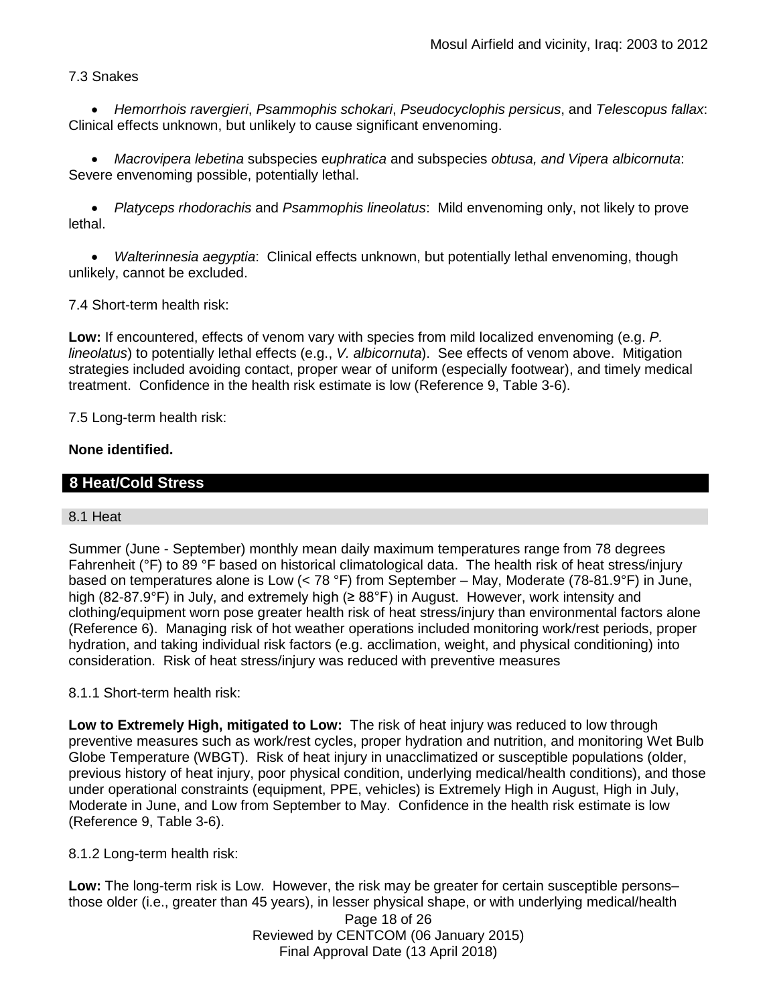## 7.3 Snakes

 *Hemorrhois ravergieri*, *Psammophis schokari*, *Pseudocyclophis persicus*, and *Telescopus fallax*: Clinical effects unknown, but unlikely to cause significant envenoming.

 *Macrovipera lebetina* subspecies e*uphratica* and subspecies *obtusa, and Vipera albicornuta*: Severe envenoming possible, potentially lethal.

 *Platyceps rhodorachis* and *Psammophis lineolatus*: Mild envenoming only, not likely to prove lethal.

 *Walterinnesia aegyptia*: Clinical effects unknown, but potentially lethal envenoming, though unlikely, cannot be excluded.

7.4 Short-term health risk:

**Low:** If encountered, effects of venom vary with species from mild localized envenoming (e.g. *P. lineolatus*) to potentially lethal effects (e.g., *V. albicornuta*). See effects of venom above. Mitigation strategies included avoiding contact, proper wear of uniform (especially footwear), and timely medical treatment. Confidence in the health risk estimate is low (Reference 9, Table 3-6).

7.5 Long-term health risk:

## **None identified.**

## **8 Heat/Cold Stress**

#### 8.1 Heat

Summer (June - September) monthly mean daily maximum temperatures range from 78 degrees Fahrenheit (°F) to 89 °F based on historical climatological data. The health risk of heat stress/injury based on temperatures alone is Low (< 78 °F) from September – May, Moderate (78-81.9°F) in June, high (82-87.9°F) in July, and extremely high (≥ 88°F) in August. However, work intensity and clothing/equipment worn pose greater health risk of heat stress/injury than environmental factors alone (Reference 6). Managing risk of hot weather operations included monitoring work/rest periods, proper hydration, and taking individual risk factors (e.g. acclimation, weight, and physical conditioning) into consideration. Risk of heat stress/injury was reduced with preventive measures

## 8.1.1 Short-term health risk:

**Low to Extremely High, mitigated to Low:** The risk of heat injury was reduced to low through preventive measures such as work/rest cycles, proper hydration and nutrition, and monitoring Wet Bulb Globe Temperature (WBGT). Risk of heat injury in unacclimatized or susceptible populations (older, previous history of heat injury, poor physical condition, underlying medical/health conditions), and those under operational constraints (equipment, PPE, vehicles) is Extremely High in August, High in July, Moderate in June, and Low from September to May. Confidence in the health risk estimate is low (Reference 9, Table 3-6).

8.1.2 Long-term health risk:

**Low:** The long-term risk is Low. However, the risk may be greater for certain susceptible persons– those older (i.e., greater than 45 years), in lesser physical shape, or with underlying medical/health

Page 18 of 26 Reviewed by CENTCOM (06 January 2015) Final Approval Date (13 April 2018)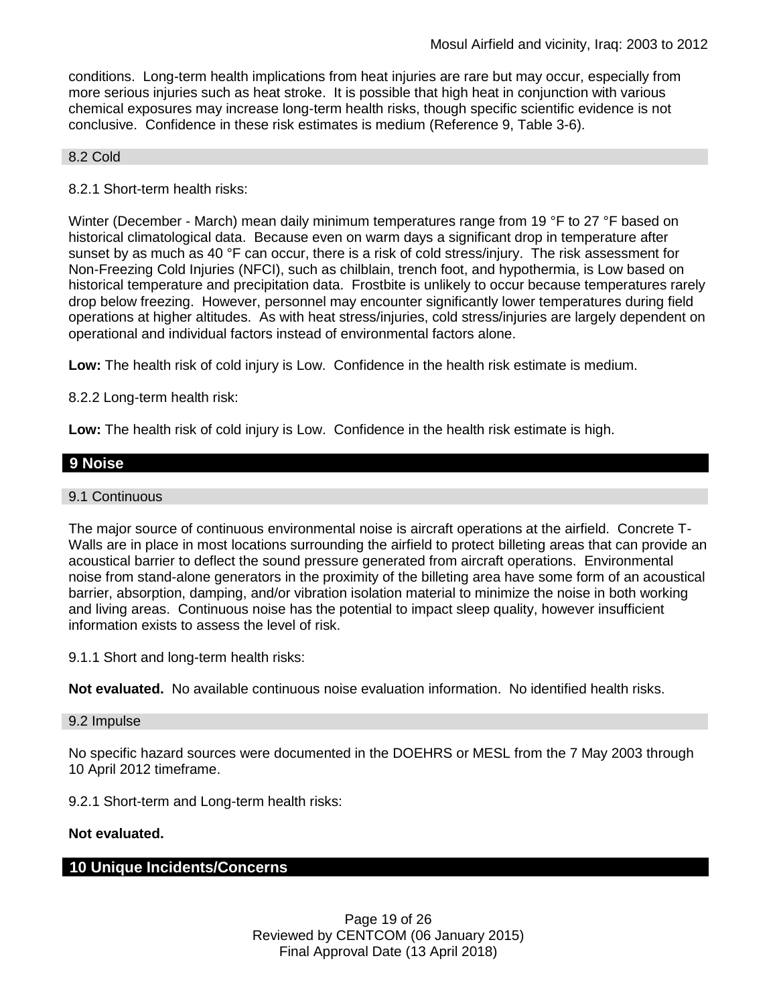conditions. Long-term health implications from heat injuries are rare but may occur, especially from more serious injuries such as heat stroke. It is possible that high heat in conjunction with various chemical exposures may increase long-term health risks, though specific scientific evidence is not conclusive. Confidence in these risk estimates is medium (Reference 9, Table 3-6).

#### 8.2 Cold

8.2.1 Short-term health risks:

Winter (December - March) mean daily minimum temperatures range from 19 °F to 27 °F based on historical climatological data. Because even on warm days a significant drop in temperature after sunset by as much as 40 °F can occur, there is a risk of cold stress/injury. The risk assessment for Non-Freezing Cold Injuries (NFCI), such as chilblain, trench foot, and hypothermia, is Low based on historical temperature and precipitation data. Frostbite is unlikely to occur because temperatures rarely drop below freezing. However, personnel may encounter significantly lower temperatures during field operations at higher altitudes. As with heat stress/injuries, cold stress/injuries are largely dependent on operational and individual factors instead of environmental factors alone.

**Low:** The health risk of cold injury is Low. Confidence in the health risk estimate is medium.

8.2.2 Long-term health risk:

**Low:** The health risk of cold injury is Low. Confidence in the health risk estimate is high.

## **9 Noise**

#### 9.1 Continuous

The major source of continuous environmental noise is aircraft operations at the airfield. Concrete T-Walls are in place in most locations surrounding the airfield to protect billeting areas that can provide an acoustical barrier to deflect the sound pressure generated from aircraft operations. Environmental noise from stand-alone generators in the proximity of the billeting area have some form of an acoustical barrier, absorption, damping, and/or vibration isolation material to minimize the noise in both working and living areas. Continuous noise has the potential to impact sleep quality, however insufficient information exists to assess the level of risk.

9.1.1 Short and long-term health risks:

**Not evaluated.** No available continuous noise evaluation information. No identified health risks.

#### 9.2 Impulse

No specific hazard sources were documented in the DOEHRS or MESL from the 7 May 2003 through 10 April 2012 timeframe.

9.2.1 Short-term and Long-term health risks:

#### **Not evaluated.**

## **10 Unique Incidents/Concerns**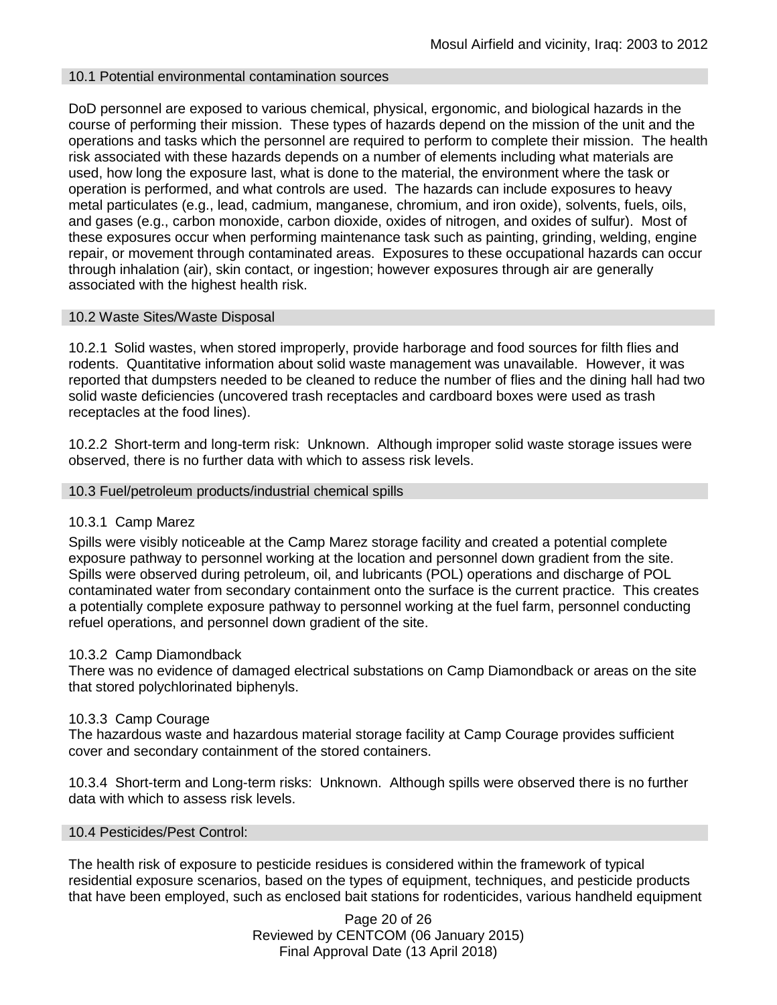## 10.1 Potential environmental contamination sources

DoD personnel are exposed to various chemical, physical, ergonomic, and biological hazards in the course of performing their mission. These types of hazards depend on the mission of the unit and the operations and tasks which the personnel are required to perform to complete their mission. The health risk associated with these hazards depends on a number of elements including what materials are used, how long the exposure last, what is done to the material, the environment where the task or operation is performed, and what controls are used. The hazards can include exposures to heavy metal particulates (e.g., lead, cadmium, manganese, chromium, and iron oxide), solvents, fuels, oils, and gases (e.g., carbon monoxide, carbon dioxide, oxides of nitrogen, and oxides of sulfur). Most of these exposures occur when performing maintenance task such as painting, grinding, welding, engine repair, or movement through contaminated areas. Exposures to these occupational hazards can occur through inhalation (air), skin contact, or ingestion; however exposures through air are generally associated with the highest health risk.

## 10.2 Waste Sites/Waste Disposal

10.2.1 Solid wastes, when stored improperly, provide harborage and food sources for filth flies and rodents. Quantitative information about solid waste management was unavailable. However, it was reported that dumpsters needed to be cleaned to reduce the number of flies and the dining hall had two solid waste deficiencies (uncovered trash receptacles and cardboard boxes were used as trash receptacles at the food lines).

10.2.2 Short-term and long-term risk:Unknown. Although improper solid waste storage issues were observed, there is no further data with which to assess risk levels.

#### 10.3 Fuel/petroleum products/industrial chemical spills

#### 10.3.1 Camp Marez

Spills were visibly noticeable at the Camp Marez storage facility and created a potential complete exposure pathway to personnel working at the location and personnel down gradient from the site. Spills were observed during petroleum, oil, and lubricants (POL) operations and discharge of POL contaminated water from secondary containment onto the surface is the current practice. This creates a potentially complete exposure pathway to personnel working at the fuel farm, personnel conducting refuel operations, and personnel down gradient of the site.

#### 10.3.2 Camp Diamondback

There was no evidence of damaged electrical substations on Camp Diamondback or areas on the site that stored polychlorinated biphenyls.

#### 10.3.3 Camp Courage

The hazardous waste and hazardous material storage facility at Camp Courage provides sufficient cover and secondary containment of the stored containers.

10.3.4 Short-term and Long-term risks: Unknown. Although spills were observed there is no further data with which to assess risk levels.

#### 10.4 Pesticides/Pest Control:

The health risk of exposure to pesticide residues is considered within the framework of typical residential exposure scenarios, based on the types of equipment, techniques, and pesticide products that have been employed, such as enclosed bait stations for rodenticides, various handheld equipment

> Page 20 of 26 Reviewed by CENTCOM (06 January 2015) Final Approval Date (13 April 2018)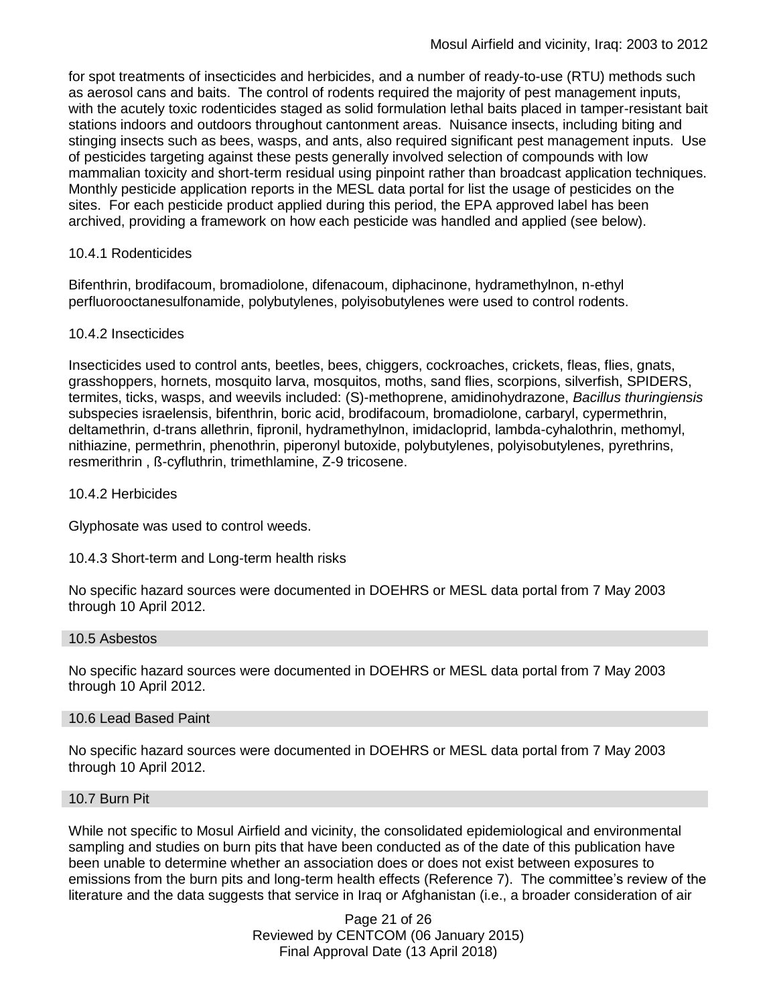for spot treatments of insecticides and herbicides, and a number of ready-to-use (RTU) methods such as aerosol cans and baits. The control of rodents required the majority of pest management inputs, with the acutely toxic rodenticides staged as solid formulation lethal baits placed in tamper-resistant bait stations indoors and outdoors throughout cantonment areas. Nuisance insects, including biting and stinging insects such as bees, wasps, and ants, also required significant pest management inputs. Use of pesticides targeting against these pests generally involved selection of compounds with low mammalian toxicity and short-term residual using pinpoint rather than broadcast application techniques. Monthly pesticide application reports in the MESL data portal for list the usage of pesticides on the sites. For each pesticide product applied during this period, the EPA approved label has been archived, providing a framework on how each pesticide was handled and applied (see below).

## 10.4.1 Rodenticides

Bifenthrin, brodifacoum, bromadiolone, difenacoum, diphacinone, hydramethylnon, n-ethyl perfluorooctanesulfonamide, polybutylenes, polyisobutylenes were used to control rodents.

## 10.4.2 Insecticides

Insecticides used to control ants, beetles, bees, chiggers, cockroaches, crickets, fleas, flies, gnats, grasshoppers, hornets, mosquito larva, mosquitos, moths, sand flies, scorpions, silverfish, SPIDERS, termites, ticks, wasps, and weevils included: (S)-methoprene, amidinohydrazone, *Bacillus thuringiensis* subspecies israelensis, bifenthrin, boric acid, brodifacoum, bromadiolone, carbaryl, cypermethrin, deltamethrin, d-trans allethrin, fipronil, hydramethylnon, imidacloprid, lambda-cyhalothrin, methomyl, nithiazine, permethrin, phenothrin, piperonyl butoxide, polybutylenes, polyisobutylenes, pyrethrins, resmerithrin , ß-cyfluthrin, trimethlamine, Z-9 tricosene.

## 10.4.2 Herbicides

Glyphosate was used to control weeds.

10.4.3 Short-term and Long-term health risks

No specific hazard sources were documented in DOEHRS or MESL data portal from 7 May 2003 through 10 April 2012.

#### 10.5 Asbestos

No specific hazard sources were documented in DOEHRS or MESL data portal from 7 May 2003 through 10 April 2012.

## 10.6 Lead Based Paint

No specific hazard sources were documented in DOEHRS or MESL data portal from 7 May 2003 through 10 April 2012.

#### 10.7 Burn Pit

While not specific to Mosul Airfield and vicinity, the consolidated epidemiological and environmental sampling and studies on burn pits that have been conducted as of the date of this publication have been unable to determine whether an association does or does not exist between exposures to emissions from the burn pits and long-term health effects (Reference 7). The committee's review of the literature and the data suggests that service in Iraq or Afghanistan (i.e., a broader consideration of air

> Page 21 of 26 Reviewed by CENTCOM (06 January 2015) Final Approval Date (13 April 2018)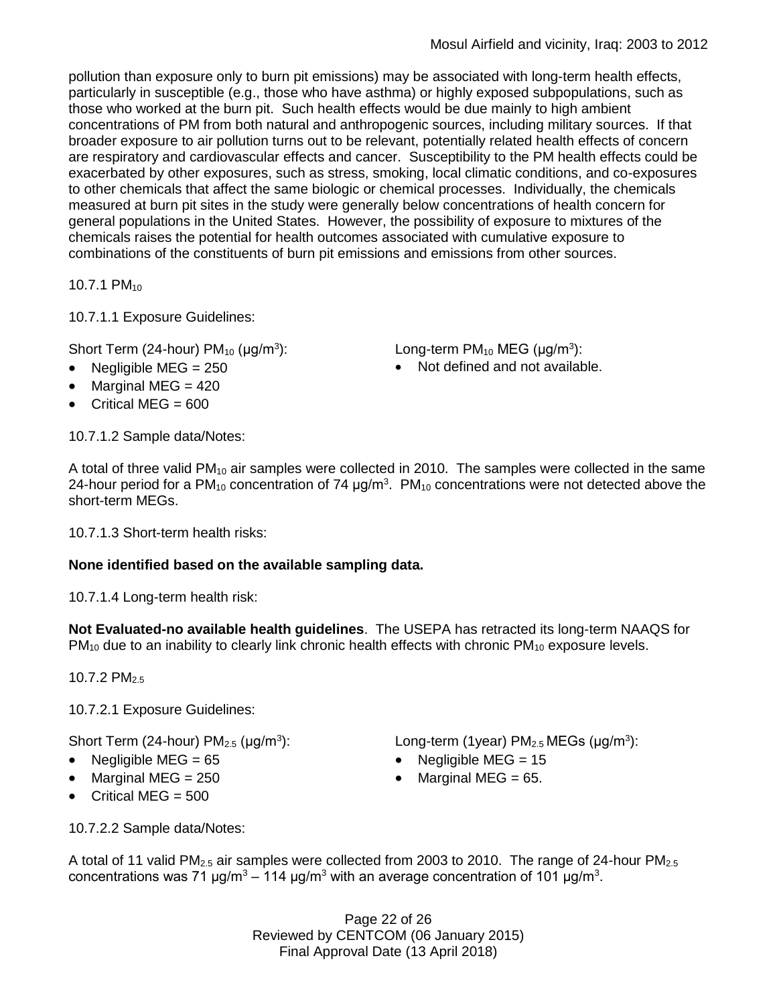pollution than exposure only to burn pit emissions) may be associated with long-term health effects, particularly in susceptible (e.g., those who have asthma) or highly exposed subpopulations, such as those who worked at the burn pit. Such health effects would be due mainly to high ambient concentrations of PM from both natural and anthropogenic sources, including military sources. If that broader exposure to air pollution turns out to be relevant, potentially related health effects of concern are respiratory and cardiovascular effects and cancer. Susceptibility to the PM health effects could be exacerbated by other exposures, such as stress, smoking, local climatic conditions, and co-exposures to other chemicals that affect the same biologic or chemical processes. Individually, the chemicals measured at burn pit sites in the study were generally below concentrations of health concern for general populations in the United States. However, the possibility of exposure to mixtures of the chemicals raises the potential for health outcomes associated with cumulative exposure to combinations of the constituents of burn pit emissions and emissions from other sources.

10.7.1 PM<sub>10</sub>

10.7.1.1 Exposure Guidelines:

Short Term (24-hour)  $PM_{10}$  ( $\mu$ g/m<sup>3</sup>):

- 
- $\bullet$  Marginal MEG = 420
- Critical MEG  $= 600$

10.7.1.2 Sample data/Notes:

A total of three valid  $PM_{10}$  air samples were collected in 2010. The samples were collected in the same 24-hour period for a PM<sub>10</sub> concentration of 74  $\mu$ g/m<sup>3</sup>. PM<sub>10</sub> concentrations were not detected above the short-term MEGs.

10.7.1.3 Short-term health risks:

# **None identified based on the available sampling data.**

10.7.1.4 Long-term health risk:

**Not Evaluated-no available health guidelines**. The USEPA has retracted its long-term NAAQS for  $PM_{10}$  due to an inability to clearly link chronic health effects with chronic  $PM_{10}$  exposure levels.

10.7.2 PM<sub>2.5</sub>

10.7.2.1 Exposure Guidelines:

Short Term (24-hour)  $PM<sub>2.5</sub>$  ( $\mu$ g/m<sup>3</sup>):

- 
- Marginal MEG =  $250$   $\bullet$  Marginal MEG =  $65$ .
- Critical MEG  $= 500$

10.7.2.2 Sample data/Notes:

): Long-term (1year)  $PM_{2.5}$  MEGs ( $\mu$ g/m<sup>3</sup>):

- Negligible MEG = 65 Negligible MEG = 15
	-

A total of 11 valid PM<sub>2.5</sub> air samples were collected from 2003 to 2010. The range of 24-hour PM<sub>2.5</sub> concentrations was 71 μg/m<sup>3</sup> – 114 μg/m<sup>3</sup> with an average concentration of 101 μg/m<sup>3</sup>.

> Page 22 of 26 Reviewed by CENTCOM (06 January 2015) Final Approval Date (13 April 2018)

): Long-term PM<sub>10</sub> MEG ( $\mu$ g/m<sup>3</sup>):

• Negligible MEG = 250 **COVERS** Not defined and not available.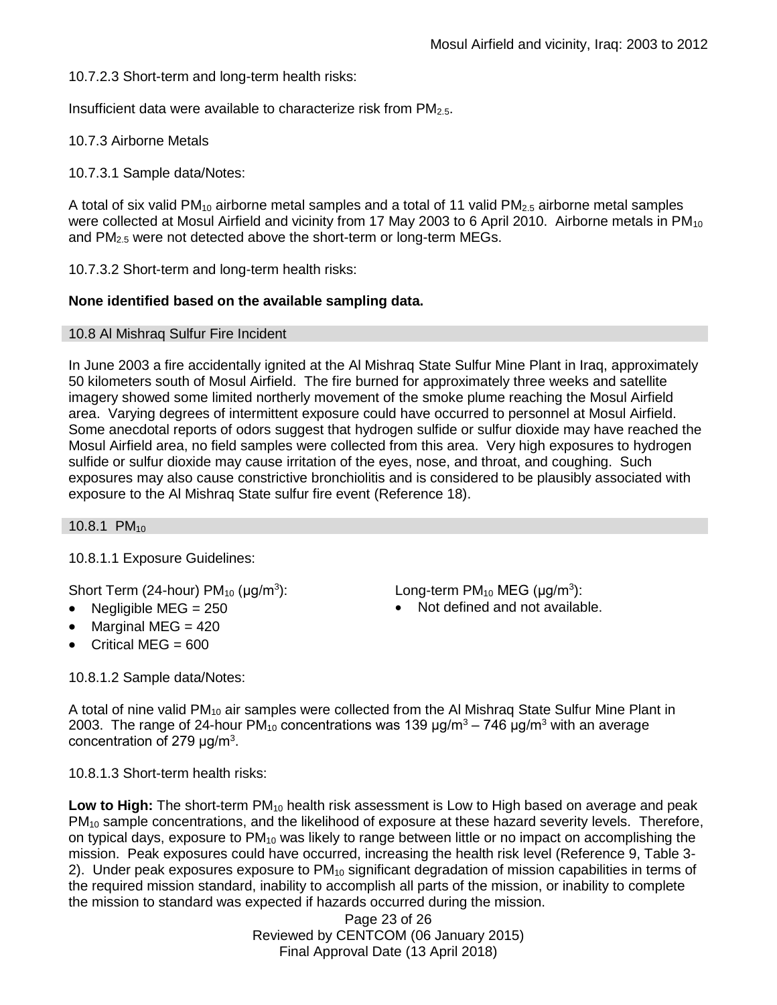10.7.2.3 Short-term and long-term health risks:

Insufficient data were available to characterize risk from  $PM<sub>2.5</sub>$ .

10.7.3 Airborne Metals

10.7.3.1 Sample data/Notes:

A total of six valid PM<sub>10</sub> airborne metal samples and a total of 11 valid PM<sub>2.5</sub> airborne metal samples were collected at Mosul Airfield and vicinity from 17 May 2003 to 6 April 2010. Airborne metals in PM<sub>10</sub> and PM2.5 were not detected above the short-term or long-term MEGs.

10.7.3.2 Short-term and long-term health risks:

## **None identified based on the available sampling data.**

#### 10.8 Al Mishraq Sulfur Fire Incident

In June 2003 a fire accidentally ignited at the Al Mishraq State Sulfur Mine Plant in Iraq, approximately 50 kilometers south of Mosul Airfield. The fire burned for approximately three weeks and satellite imagery showed some limited northerly movement of the smoke plume reaching the Mosul Airfield area. Varying degrees of intermittent exposure could have occurred to personnel at Mosul Airfield. Some anecdotal reports of odors suggest that hydrogen sulfide or sulfur dioxide may have reached the Mosul Airfield area, no field samples were collected from this area. Very high exposures to hydrogen sulfide or sulfur dioxide may cause irritation of the eyes, nose, and throat, and coughing. Such exposures may also cause constrictive bronchiolitis and is considered to be plausibly associated with exposure to the Al Mishraq State sulfur fire event (Reference 18).

10.8.1 PM<sub>10</sub>

10.8.1.1 Exposure Guidelines:

Short Term (24-hour)  $PM_{10}$  ( $\mu$ g/m<sup>3</sup>):

- 
- Marginal MEG = 420
- $\bullet$  Critical MEG = 600

): Long-term PM<sub>10</sub> MEG ( $\mu$ g/m<sup>3</sup>): Negligible  $MEG = 250$  Not defined and not available.

10.8.1.2 Sample data/Notes:

A total of nine valid PM<sub>10</sub> air samples were collected from the Al Mishrag State Sulfur Mine Plant in 2003. The range of 24-hour PM<sub>10</sub> concentrations was 139  $\mu$ g/m<sup>3</sup> – 746  $\mu$ g/m<sup>3</sup> with an average concentration of 279  $\mu$ g/m<sup>3</sup>.

10.8.1.3 Short-term health risks:

Low to High: The short-term PM<sub>10</sub> health risk assessment is Low to High based on average and peak PM<sub>10</sub> sample concentrations, and the likelihood of exposure at these hazard severity levels. Therefore, on typical days, exposure to PM<sub>10</sub> was likely to range between little or no impact on accomplishing the mission. Peak exposures could have occurred, increasing the health risk level (Reference 9, Table 3- 2). Under peak exposures exposure to  $PM_{10}$  significant degradation of mission capabilities in terms of the required mission standard, inability to accomplish all parts of the mission, or inability to complete the mission to standard was expected if hazards occurred during the mission.

> Page 23 of 26 Reviewed by CENTCOM (06 January 2015) Final Approval Date (13 April 2018)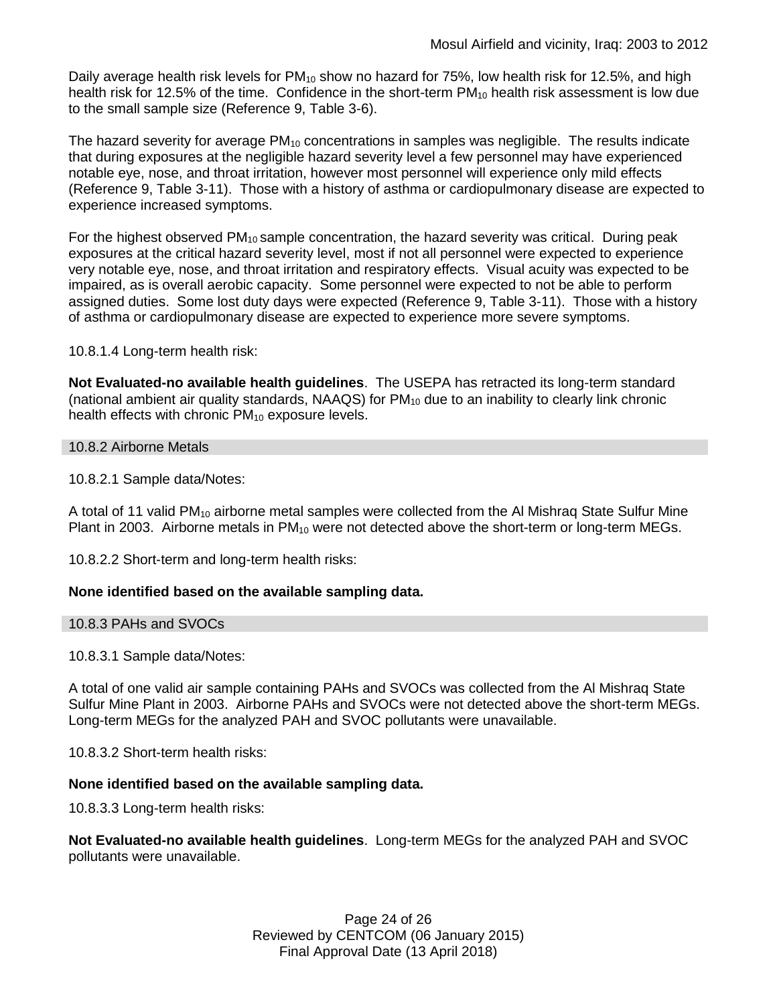Daily average health risk levels for PM<sub>10</sub> show no hazard for 75%, low health risk for 12.5%, and high health risk for 12.5% of the time. Confidence in the short-term PM<sub>10</sub> health risk assessment is low due to the small sample size (Reference 9, Table 3-6).

The hazard severity for average  $PM_{10}$  concentrations in samples was negligible. The results indicate that during exposures at the negligible hazard severity level a few personnel may have experienced notable eye, nose, and throat irritation, however most personnel will experience only mild effects (Reference 9, Table 3-11). Those with a history of asthma or cardiopulmonary disease are expected to experience increased symptoms.

For the highest observed  $PM_{10}$  sample concentration, the hazard severity was critical. During peak exposures at the critical hazard severity level, most if not all personnel were expected to experience very notable eye, nose, and throat irritation and respiratory effects. Visual acuity was expected to be impaired, as is overall aerobic capacity. Some personnel were expected to not be able to perform assigned duties. Some lost duty days were expected (Reference 9, Table 3-11). Those with a history of asthma or cardiopulmonary disease are expected to experience more severe symptoms.

10.8.1.4 Long-term health risk:

**Not Evaluated-no available health guidelines**. The USEPA has retracted its long-term standard (national ambient air quality standards,  $NAAGS$ ) for  $PM_{10}$  due to an inability to clearly link chronic health effects with chronic PM<sub>10</sub> exposure levels.

## 10.8.2 Airborne Metals

10.8.2.1 Sample data/Notes:

A total of 11 valid PM<sub>10</sub> airborne metal samples were collected from the Al Mishrag State Sulfur Mine Plant in 2003. Airborne metals in PM<sub>10</sub> were not detected above the short-term or long-term MEGs.

10.8.2.2 Short-term and long-term health risks:

## **None identified based on the available sampling data.**

#### 10.8.3 PAHs and SVOCs

10.8.3.1 Sample data/Notes:

A total of one valid air sample containing PAHs and SVOCs was collected from the Al Mishraq State Sulfur Mine Plant in 2003. Airborne PAHs and SVOCs were not detected above the short-term MEGs. Long-term MEGs for the analyzed PAH and SVOC pollutants were unavailable.

10.8.3.2 Short-term health risks:

#### **None identified based on the available sampling data.**

10.8.3.3 Long-term health risks:

**Not Evaluated-no available health guidelines**. Long-term MEGs for the analyzed PAH and SVOC pollutants were unavailable.

> Page 24 of 26 Reviewed by CENTCOM (06 January 2015) Final Approval Date (13 April 2018)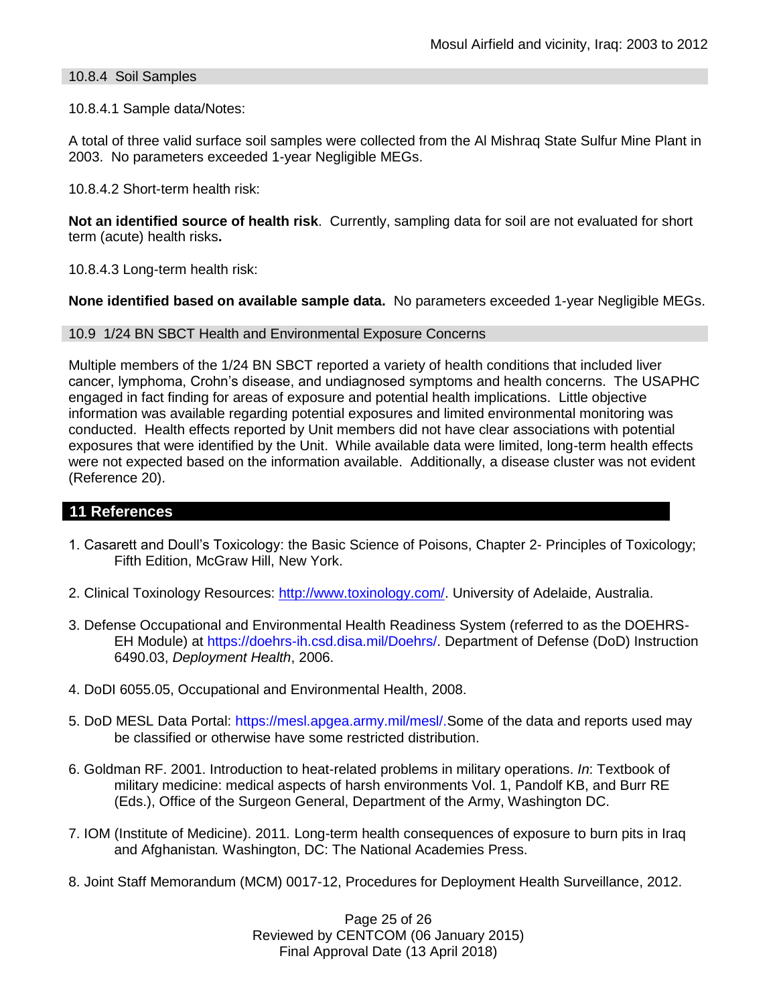## 10.8.4 Soil Samples

#### 10.8.4.1 Sample data/Notes:

A total of three valid surface soil samples were collected from the Al Mishraq State Sulfur Mine Plant in 2003. No parameters exceeded 1-year Negligible MEGs.

10.8.4.2 Short-term health risk:

**Not an identified source of health risk**. Currently, sampling data for soil are not evaluated for short term (acute) health risks**.**

10.8.4.3 Long-term health risk:

**None identified based on available sample data.** No parameters exceeded 1-year Negligible MEGs.

#### 10.9 1/24 BN SBCT Health and Environmental Exposure Concerns

Multiple members of the 1/24 BN SBCT reported a variety of health conditions that included liver cancer, lymphoma, Crohn's disease, and undiagnosed symptoms and health concerns. The USAPHC engaged in fact finding for areas of exposure and potential health implications. Little objective information was available regarding potential exposures and limited environmental monitoring was conducted. Health effects reported by Unit members did not have clear associations with potential exposures that were identified by the Unit. While available data were limited, long-term health effects were not expected based on the information available. Additionally, a disease cluster was not evident (Reference 20).

## **11 References**

- 1. Casarett and Doull's Toxicology: the Basic Science of Poisons, Chapter 2- Principles of Toxicology; Fifth Edition, McGraw Hill, New York.
- 2. Clinical Toxinology Resources: [http://www.toxinology.com/.](http://www.toxinology.com/) University of Adelaide, Australia.
- 3. Defense Occupational and Environmental Health Readiness System (referred to as the DOEHRS-EH Module) at https://doehrs-ih.csd.disa.mil/Doehrs/. Department of Defense (DoD) Instruction 6490.03, *Deployment Health*, 2006.
- 4. DoDI 6055.05, Occupational and Environmental Health, 2008.
- 5. DoD MESL Data Portal: https://mesl.apgea.army.mil/mesl/.Some of the data and reports used may be classified or otherwise have some restricted distribution.
- 6. Goldman RF. 2001. Introduction to heat-related problems in military operations. *In*: Textbook of military medicine: medical aspects of harsh environments Vol. 1, Pandolf KB, and Burr RE (Eds.), Office of the Surgeon General, Department of the Army, Washington DC.
- 7. IOM (Institute of Medicine). 2011*.* Long-term health consequences of exposure to burn pits in Iraq and Afghanistan*.* Washington, DC: The National Academies Press.
- 8. Joint Staff Memorandum (MCM) 0017-12, Procedures for Deployment Health Surveillance, 2012.

Page 25 of 26 Reviewed by CENTCOM (06 January 2015) Final Approval Date (13 April 2018)